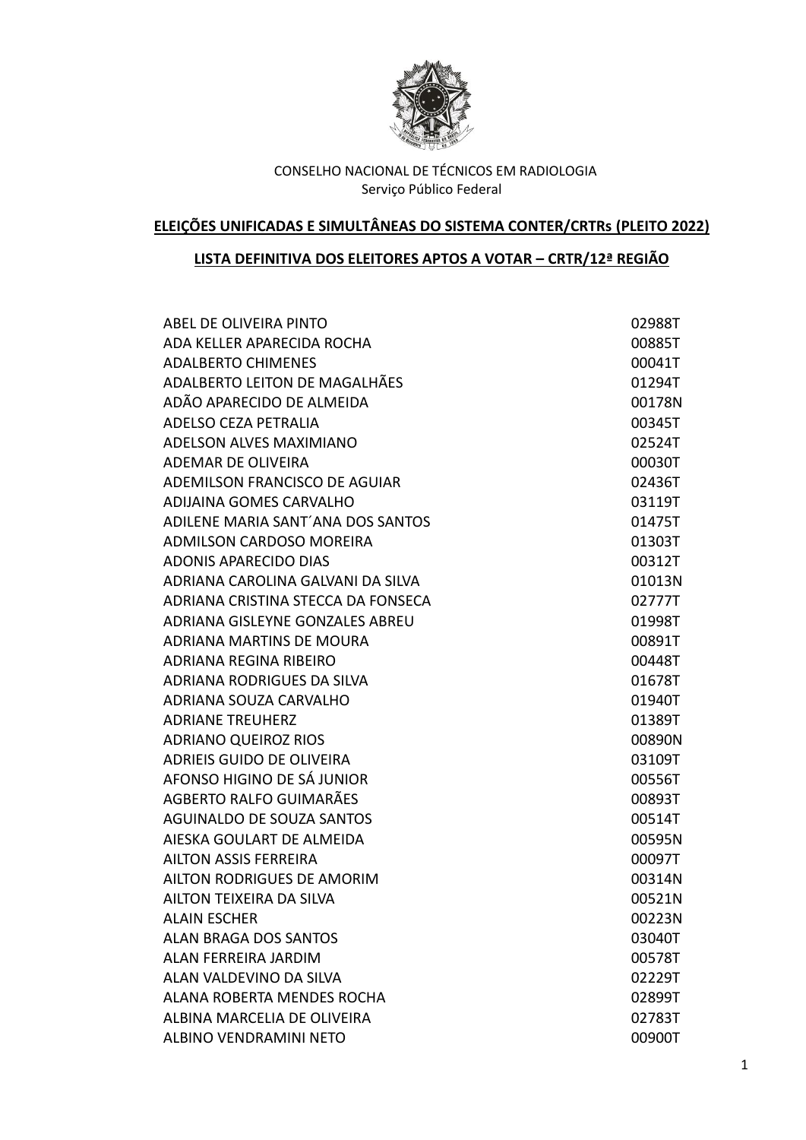

# **ELEIÇÕES UNIFICADAS E SIMULTÂNEAS DO SISTEMA CONTER/CRTRs (PLEITO 2022)**

# **LISTA DEFINITIVA DOS ELEITORES APTOS A VOTAR – CRTR/12ª REGIÃO**

| ABEL DE OLIVEIRA PINTO             | 02988T |
|------------------------------------|--------|
| ADA KELLER APARECIDA ROCHA         | 00885T |
| <b>ADALBERTO CHIMENES</b>          | 00041T |
| ADALBERTO LEITON DE MAGALHÃES      | 01294T |
| ADÃO APARECIDO DE ALMEIDA          | 00178N |
| ADELSO CEZA PETRALIA               | 00345T |
| <b>ADELSON ALVES MAXIMIANO</b>     | 02524T |
| ADEMAR DE OLIVEIRA                 | 00030T |
| ADEMILSON FRANCISCO DE AGUIAR      | 02436T |
| ADIJAINA GOMES CARVALHO            | 03119T |
| ADILENE MARIA SANT'ANA DOS SANTOS  | 01475T |
| ADMILSON CARDOSO MOREIRA           | 01303T |
| <b>ADONIS APARECIDO DIAS</b>       | 00312T |
| ADRIANA CAROLINA GALVANI DA SILVA  | 01013N |
| ADRIANA CRISTINA STECCA DA FONSECA | 02777T |
| ADRIANA GISLEYNE GONZALES ABREU    | 01998T |
| ADRIANA MARTINS DE MOURA           | 00891T |
| <b>ADRIANA REGINA RIBEIRO</b>      | 00448T |
| ADRIANA RODRIGUES DA SILVA         | 01678T |
| ADRIANA SOUZA CARVALHO             | 01940T |
| <b>ADRIANE TREUHERZ</b>            | 01389T |
| <b>ADRIANO QUEIROZ RIOS</b>        | 00890N |
| ADRIEIS GUIDO DE OLIVEIRA          | 03109T |
| AFONSO HIGINO DE SÁ JUNIOR         | 00556T |
| AGBERTO RALFO GUIMARÃES            | 00893T |
| AGUINALDO DE SOUZA SANTOS          | 00514T |
| AIESKA GOULART DE ALMEIDA          | 00595N |
| AILTON ASSIS FERREIRA              | 00097T |
| AILTON RODRIGUES DE AMORIM         | 00314N |
| AILTON TEIXEIRA DA SILVA           | 00521N |
| <b>ALAIN ESCHER</b>                | 00223N |
| <b>ALAN BRAGA DOS SANTOS</b>       | 03040T |
| <b>ALAN FERREIRA JARDIM</b>        | 00578T |
| ALAN VALDEVINO DA SILVA            | 02229T |
| ALANA ROBERTA MENDES ROCHA         | 02899T |
| ALBINA MARCELIA DE OLIVEIRA        | 02783T |
| ALBINO VENDRAMINI NETO             | 00900T |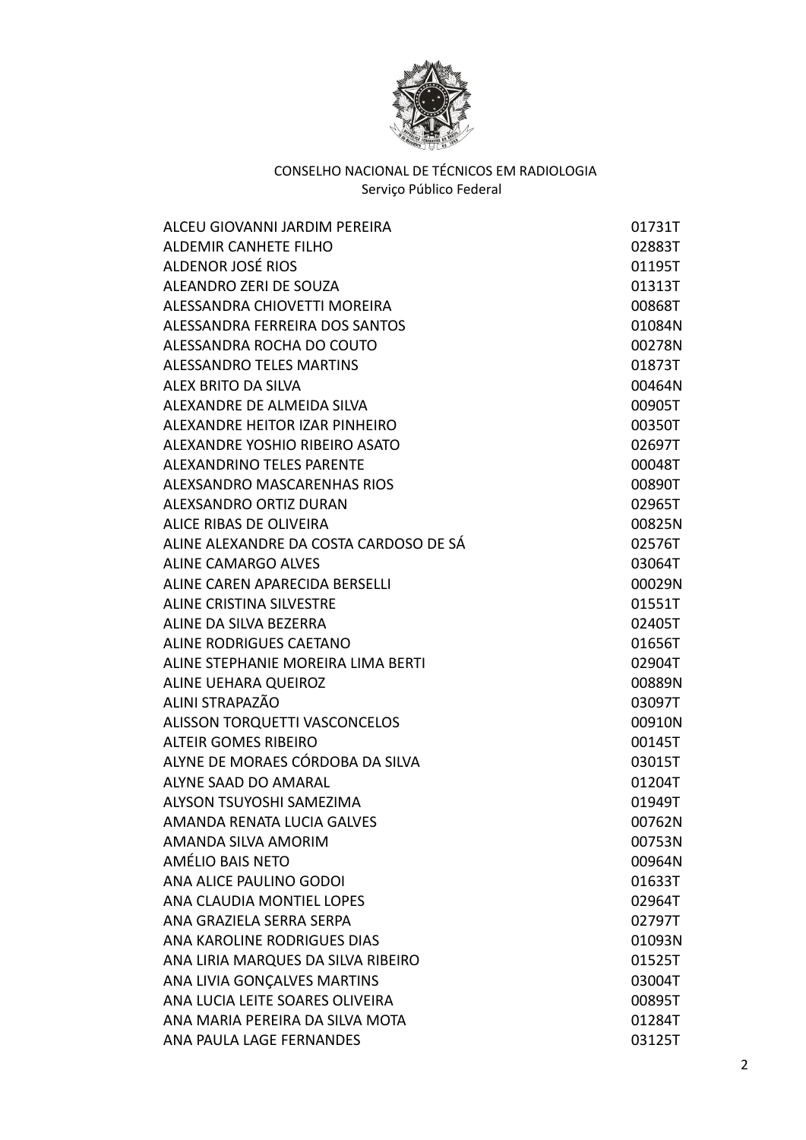

| ALCEU GIOVANNI JARDIM PEREIRA          | 01731T |
|----------------------------------------|--------|
| <b>ALDEMIR CANHETE FILHO</b>           | 02883T |
| ALDENOR JOSÉ RIOS                      | 01195T |
| ALEANDRO ZERI DE SOUZA                 | 01313T |
| ALESSANDRA CHIOVETTI MOREIRA           | 00868T |
| ALESSANDRA FERREIRA DOS SANTOS         | 01084N |
| ALESSANDRA ROCHA DO COUTO              | 00278N |
| <b>ALESSANDRO TELES MARTINS</b>        | 01873T |
| ALEX BRITO DA SILVA                    | 00464N |
| ALEXANDRE DE ALMEIDA SILVA             | 00905T |
| ALEXANDRE HEITOR IZAR PINHEIRO         | 00350T |
| ALEXANDRE YOSHIO RIBEIRO ASATO         | 02697T |
| <b>ALEXANDRINO TELES PARENTE</b>       | 00048T |
| ALEXSANDRO MASCARENHAS RIOS            | 00890T |
| ALEXSANDRO ORTIZ DURAN                 | 02965T |
| ALICE RIBAS DE OLIVEIRA                | 00825N |
| ALINE ALEXANDRE DA COSTA CARDOSO DE SÁ | 02576T |
| <b>ALINE CAMARGO ALVES</b>             | 03064T |
| ALINE CAREN APARECIDA BERSELLI         | 00029N |
| <b>ALINE CRISTINA SILVESTRE</b>        | 01551T |
| ALINE DA SILVA BEZERRA                 | 02405T |
| ALINE RODRIGUES CAETANO                | 01656T |
| ALINE STEPHANIE MOREIRA LIMA BERTI     | 02904T |
| ALINE UEHARA QUEIROZ                   | 00889N |
| ALINI STRAPAZÃO                        | 03097T |
| <b>ALISSON TORQUETTI VASCONCELOS</b>   | 00910N |
| <b>ALTEIR GOMES RIBEIRO</b>            | 00145T |
| ALYNE DE MORAES CÓRDOBA DA SILVA       | 03015T |
| ALYNE SAAD DO AMARAL                   | 01204T |
| ALYSON TSUYOSHI SAMEZIMA               | 01949T |
| <b>AMANDA RENATA LUCIA GALVES</b>      | 00762N |
| AMANDA SILVA AMORIM                    | 00753N |
| AMÉLIO BAIS NETO                       | 00964N |
| ANA ALICE PAULINO GODOI                | 01633T |
| ANA CLAUDIA MONTIEL LOPES              | 02964T |
| ANA GRAZIELA SERRA SERPA               | 02797T |
| ANA KAROLINE RODRIGUES DIAS            | 01093N |
| ANA LIRIA MARQUES DA SILVA RIBEIRO     | 01525T |
| ANA LIVIA GONÇALVES MARTINS            | 03004T |
| ANA LUCIA LEITE SOARES OLIVEIRA        | 00895T |
| ANA MARIA PEREIRA DA SILVA MOTA        | 01284T |
| ANA PAULA LAGE FERNANDES               | 03125T |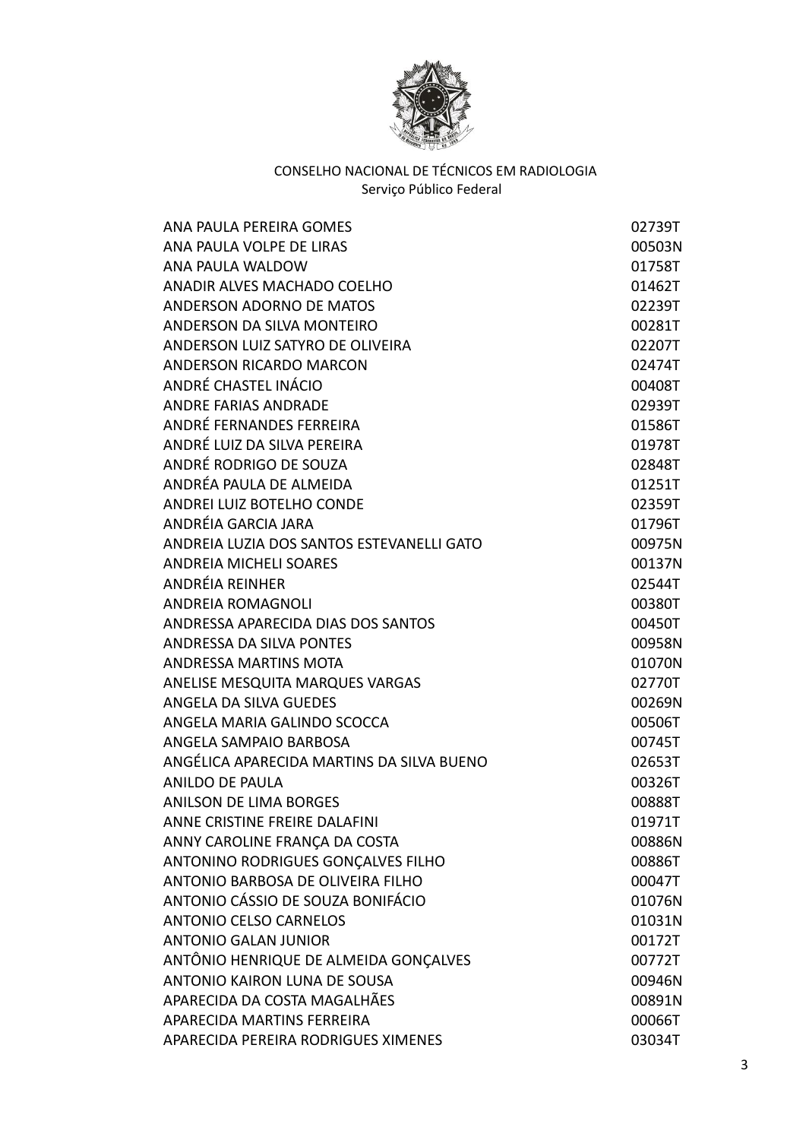

| ANA PAULA PEREIRA GOMES                   | 02739T |
|-------------------------------------------|--------|
| ANA PAULA VOLPE DE LIRAS                  | 00503N |
| ANA PAULA WALDOW                          | 01758T |
| ANADIR ALVES MACHADO COELHO               | 01462T |
| ANDERSON ADORNO DE MATOS                  | 02239T |
| ANDERSON DA SILVA MONTEIRO                | 00281T |
| ANDERSON LUIZ SATYRO DE OLIVEIRA          | 02207T |
| <b>ANDERSON RICARDO MARCON</b>            | 02474T |
| ANDRÉ CHASTEL INÁCIO                      | 00408T |
| <b>ANDRE FARIAS ANDRADE</b>               | 02939T |
| ANDRÉ FERNANDES FERREIRA                  | 01586T |
| ANDRÉ LUIZ DA SILVA PEREIRA               | 01978T |
| ANDRÉ RODRIGO DE SOUZA                    | 02848T |
| ANDRÉA PAULA DE ALMEIDA                   | 01251T |
| ANDREI LUIZ BOTELHO CONDE                 | 02359T |
| ANDRÉIA GARCIA JARA                       | 01796T |
| ANDREIA LUZIA DOS SANTOS ESTEVANELLI GATO | 00975N |
| ANDREIA MICHELI SOARES                    | 00137N |
| ANDRÉIA REINHER                           | 02544T |
| <b>ANDREIA ROMAGNOLI</b>                  | 00380T |
| ANDRESSA APARECIDA DIAS DOS SANTOS        | 00450T |
| ANDRESSA DA SILVA PONTES                  | 00958N |
| <b>ANDRESSA MARTINS MOTA</b>              | 01070N |
| ANELISE MESQUITA MARQUES VARGAS           | 02770T |
| ANGELA DA SILVA GUEDES                    | 00269N |
| ANGELA MARIA GALINDO SCOCCA               | 00506T |
| ANGELA SAMPAIO BARBOSA                    | 00745T |
| ANGÉLICA APARECIDA MARTINS DA SILVA BUENO | 02653T |
| <b>ANILDO DE PAULA</b>                    | 00326T |
| <b>ANILSON DE LIMA BORGES</b>             | 00888T |
| ANNE CRISTINE FREIRE DALAFINI             | 01971T |
| ANNY CAROLINE FRANÇA DA COSTA             | 00886N |
| ANTONINO RODRIGUES GONÇALVES FILHO        | 00886T |
| ANTONIO BARBOSA DE OLIVEIRA FILHO         | 00047T |
| ANTONIO CÁSSIO DE SOUZA BONIFÁCIO         | 01076N |
| <b>ANTONIO CELSO CARNELOS</b>             | 01031N |
| <b>ANTONIO GALAN JUNIOR</b>               | 00172T |
| ANTÔNIO HENRIQUE DE ALMEIDA GONÇALVES     | 00772T |
| ANTONIO KAIRON LUNA DE SOUSA              | 00946N |
| APARECIDA DA COSTA MAGALHÃES              | 00891N |
| APARECIDA MARTINS FERREIRA                | 00066T |
| APARECIDA PEREIRA RODRIGUES XIMENES       | 03034T |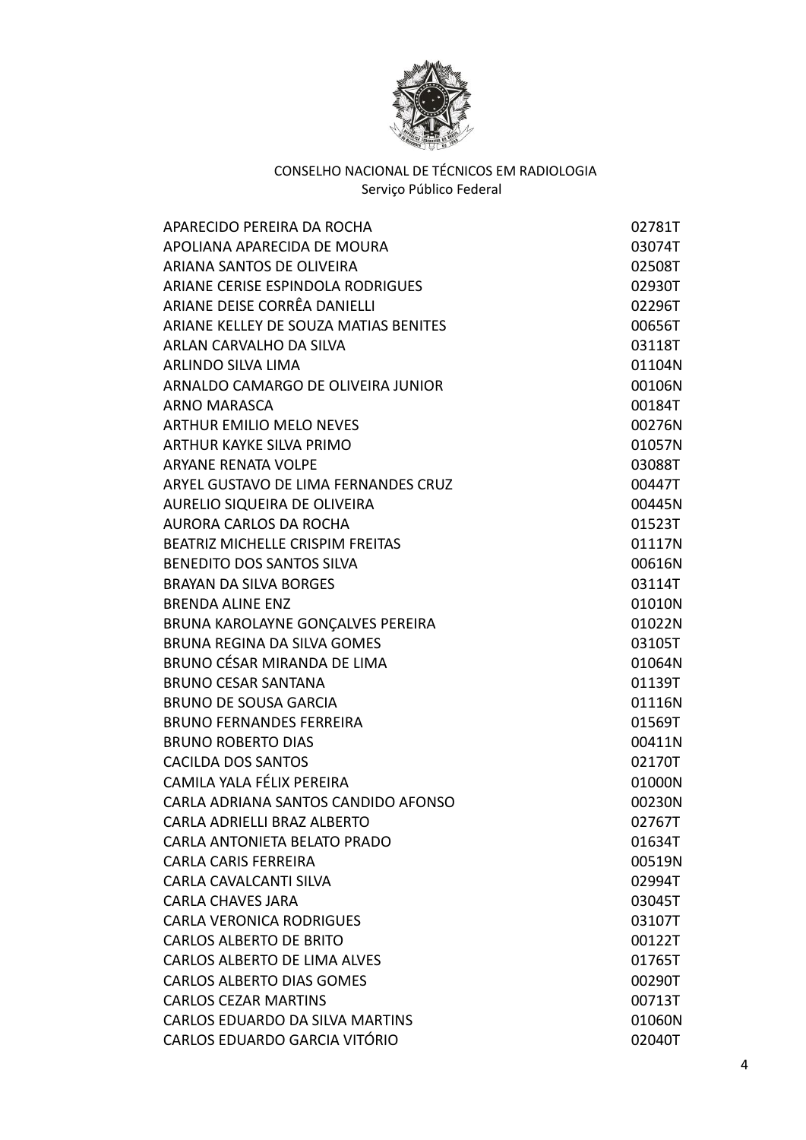

| APARECIDO PEREIRA DA ROCHA            | 02781T |
|---------------------------------------|--------|
| APOLIANA APARECIDA DE MOURA           | 03074T |
| ARIANA SANTOS DE OLIVEIRA             | 02508T |
| ARIANE CERISE ESPINDOLA RODRIGUES     | 02930T |
| ARIANE DEISE CORRÊA DANIELLI          | 02296T |
| ARIANE KELLEY DE SOUZA MATIAS BENITES | 00656T |
| ARLAN CARVALHO DA SILVA               | 03118T |
| <b>ARLINDO SILVA LIMA</b>             | 01104N |
| ARNALDO CAMARGO DE OLIVEIRA JUNIOR    | 00106N |
| <b>ARNO MARASCA</b>                   | 00184T |
| <b>ARTHUR EMILIO MELO NEVES</b>       | 00276N |
| ARTHUR KAYKE SILVA PRIMO              | 01057N |
| <b>ARYANE RENATA VOLPE</b>            | 03088T |
| ARYEL GUSTAVO DE LIMA FERNANDES CRUZ  | 00447T |
| AURELIO SIQUEIRA DE OLIVEIRA          | 00445N |
| AURORA CARLOS DA ROCHA                | 01523T |
| BEATRIZ MICHELLE CRISPIM FREITAS      | 01117N |
| <b>BENEDITO DOS SANTOS SILVA</b>      | 00616N |
| <b>BRAYAN DA SILVA BORGES</b>         | 03114T |
| <b>BRENDA ALINE ENZ</b>               | 01010N |
| BRUNA KAROLAYNE GONÇALVES PEREIRA     | 01022N |
| <b>BRUNA REGINA DA SILVA GOMES</b>    | 03105T |
| BRUNO CÉSAR MIRANDA DE LIMA           | 01064N |
| <b>BRUNO CESAR SANTANA</b>            | 01139T |
| <b>BRUNO DE SOUSA GARCIA</b>          | 01116N |
| <b>BRUNO FERNANDES FERREIRA</b>       | 01569T |
| <b>BRUNO ROBERTO DIAS</b>             | 00411N |
| <b>CACILDA DOS SANTOS</b>             | 02170T |
| CAMILA YALA FÉLIX PEREIRA             | 01000N |
| CARLA ADRIANA SANTOS CANDIDO AFONSO   | 00230N |
| CARLA ADRIELLI BRAZ ALBERTO           | 02767T |
| CARLA ANTONIETA BELATO PRADO          | 01634T |
| <b>CARLA CARIS FERREIRA</b>           | 00519N |
| CARLA CAVALCANTI SILVA                | 02994T |
| <b>CARLA CHAVES JARA</b>              | 03045T |
| <b>CARLA VERONICA RODRIGUES</b>       | 03107T |
| <b>CARLOS ALBERTO DE BRITO</b>        | 00122T |
| <b>CARLOS ALBERTO DE LIMA ALVES</b>   | 01765T |
| <b>CARLOS ALBERTO DIAS GOMES</b>      | 00290T |
| <b>CARLOS CEZAR MARTINS</b>           | 00713T |
| CARLOS EDUARDO DA SILVA MARTINS       | 01060N |
| CARLOS EDUARDO GARCIA VITÓRIO         | 02040T |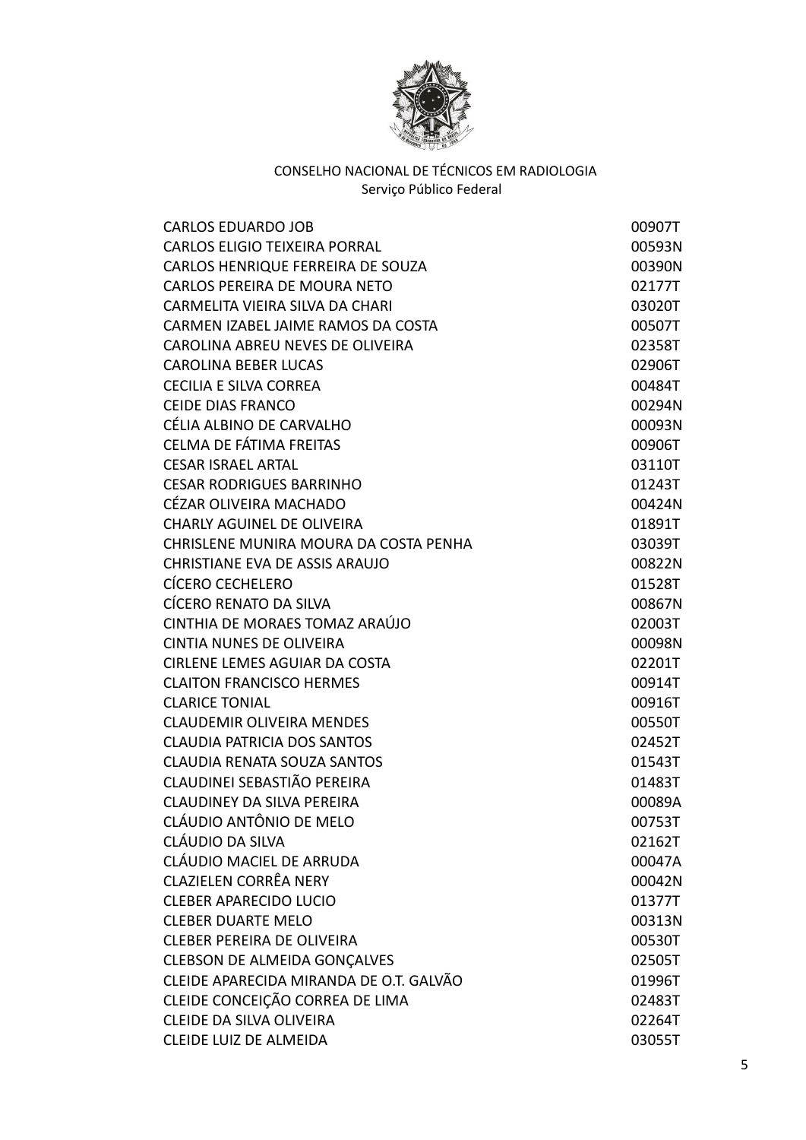

| <b>CARLOS EDUARDO JOB</b>               | 00907T |
|-----------------------------------------|--------|
| <b>CARLOS ELIGIO TEIXEIRA PORRAL</b>    | 00593N |
| CARLOS HENRIQUE FERREIRA DE SOUZA       | 00390N |
| <b>CARLOS PEREIRA DE MOURA NETO</b>     | 02177T |
| CARMELITA VIEIRA SILVA DA CHARI         | 03020T |
| CARMEN IZABEL JAIME RAMOS DA COSTA      | 00507T |
| CAROLINA ABREU NEVES DE OLIVEIRA        | 02358T |
| <b>CAROLINA BEBER LUCAS</b>             | 02906T |
| <b>CECILIA E SILVA CORREA</b>           | 00484T |
| <b>CEIDE DIAS FRANCO</b>                | 00294N |
| CÉLIA ALBINO DE CARVALHO                | 00093N |
| CELMA DE FÁTIMA FREITAS                 | 00906T |
| <b>CESAR ISRAEL ARTAL</b>               | 03110T |
| <b>CESAR RODRIGUES BARRINHO</b>         | 01243T |
| CÉZAR OLIVEIRA MACHADO                  | 00424N |
| <b>CHARLY AGUINEL DE OLIVEIRA</b>       | 01891T |
| CHRISLENE MUNIRA MOURA DA COSTA PENHA   | 03039T |
| CHRISTIANE EVA DE ASSIS ARAUJO          | 00822N |
| <b>CÍCERO CECHELERO</b>                 | 01528T |
| CÍCERO RENATO DA SILVA                  | 00867N |
| CINTHIA DE MORAES TOMAZ ARAÚJO          | 02003T |
| <b>CINTIA NUNES DE OLIVEIRA</b>         | 00098N |
| CIRLENE LEMES AGUIAR DA COSTA           | 02201T |
| <b>CLAITON FRANCISCO HERMES</b>         | 00914T |
| <b>CLARICE TONIAL</b>                   | 00916T |
| <b>CLAUDEMIR OLIVEIRA MENDES</b>        | 00550T |
| <b>CLAUDIA PATRICIA DOS SANTOS</b>      | 02452T |
| <b>CLAUDIA RENATA SOUZA SANTOS</b>      | 01543T |
| CLAUDINEI SEBASTIÃO PEREIRA             | 01483T |
| <b>CLAUDINEY DA SILVA PEREIRA</b>       | 00089A |
| CLÁUDIO ANTÔNIO DE MELO                 | 00753T |
| CLÁUDIO DA SILVA                        | 02162T |
| CLÁUDIO MACIEL DE ARRUDA                | 00047A |
| <b>CLAZIELEN CORRÊA NERY</b>            | 00042N |
| <b>CLEBER APARECIDO LUCIO</b>           | 01377T |
| <b>CLEBER DUARTE MELO</b>               | 00313N |
| <b>CLEBER PEREIRA DE OLIVEIRA</b>       | 00530T |
| <b>CLEBSON DE ALMEIDA GONÇALVES</b>     | 02505T |
| CLEIDE APARECIDA MIRANDA DE O.T. GALVÃO | 01996T |
| CLEIDE CONCEIÇÃO CORREA DE LIMA         | 02483T |
| CLEIDE DA SILVA OLIVEIRA                | 02264T |
| <b>CLEIDE LUIZ DE ALMEIDA</b>           | 03055T |
|                                         |        |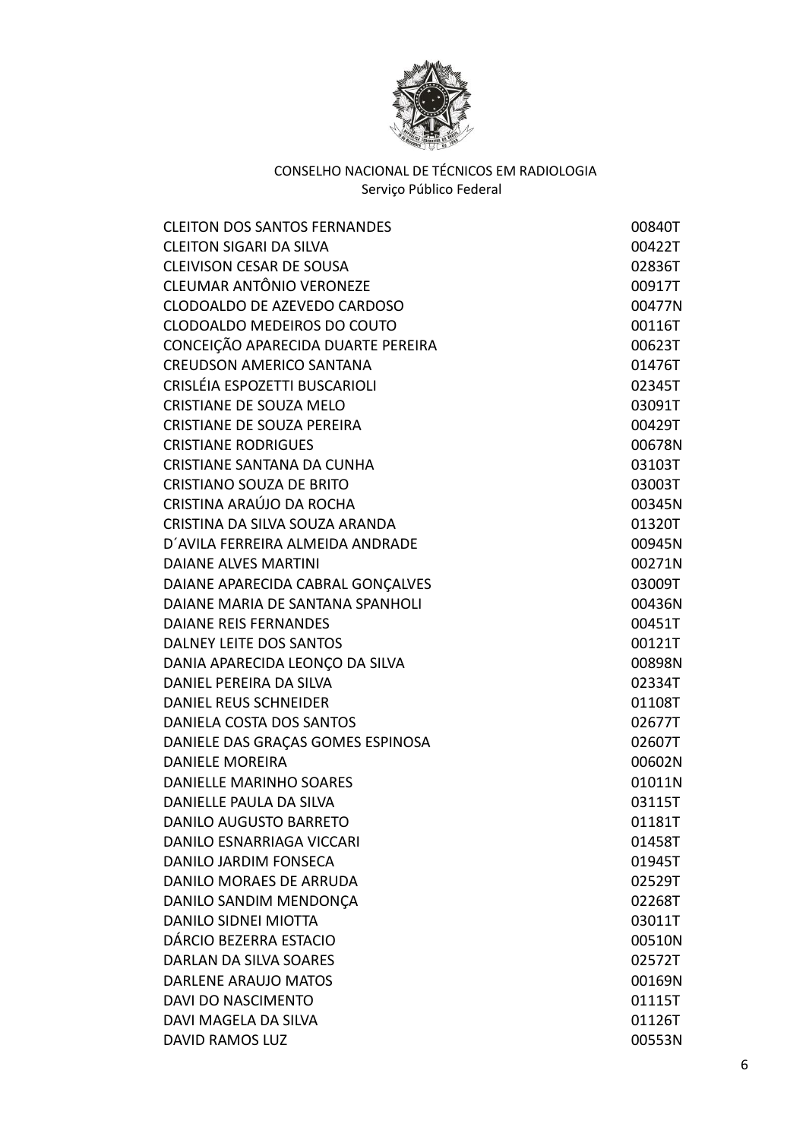

| <b>CLEITON DOS SANTOS FERNANDES</b> | 00840T |
|-------------------------------------|--------|
| <b>CLEITON SIGARI DA SILVA</b>      | 00422T |
| <b>CLEIVISON CESAR DE SOUSA</b>     | 02836T |
| CLEUMAR ANTÔNIO VERONEZE            | 00917T |
| CLODOALDO DE AZEVEDO CARDOSO        | 00477N |
| CLODOALDO MEDEIROS DO COUTO         | 00116T |
| CONCEIÇÃO APARECIDA DUARTE PEREIRA  | 00623T |
| <b>CREUDSON AMERICO SANTANA</b>     | 01476T |
| CRISLÉIA ESPOZETTI BUSCARIOLI       | 02345T |
| CRISTIANE DE SOUZA MELO             | 03091T |
| <b>CRISTIANE DE SOUZA PEREIRA</b>   | 00429T |
| <b>CRISTIANE RODRIGUES</b>          | 00678N |
| <b>CRISTIANE SANTANA DA CUNHA</b>   | 03103T |
| <b>CRISTIANO SOUZA DE BRITO</b>     | 03003T |
| CRISTINA ARAÚJO DA ROCHA            | 00345N |
| CRISTINA DA SILVA SOUZA ARANDA      | 01320T |
| D'AVILA FERREIRA ALMEIDA ANDRADE    | 00945N |
| <b>DAIANE ALVES MARTINI</b>         | 00271N |
| DAIANE APARECIDA CABRAL GONÇALVES   | 03009T |
| DAIANE MARIA DE SANTANA SPANHOLI    | 00436N |
| <b>DAIANE REIS FERNANDES</b>        | 00451T |
| DALNEY LEITE DOS SANTOS             | 00121T |
| DANIA APARECIDA LEONÇO DA SILVA     | 00898N |
| DANIEL PEREIRA DA SILVA             | 02334T |
| DANIEL REUS SCHNEIDER               | 01108T |
| DANIELA COSTA DOS SANTOS            | 02677T |
| DANIELE DAS GRAÇAS GOMES ESPINOSA   | 02607T |
| <b>DANIELE MOREIRA</b>              | 00602N |
| <b>DANIELLE MARINHO SOARES</b>      | 01011N |
| DANIELLE PAULA DA SILVA             | 03115T |
| DANILO AUGUSTO BARRETO              | 01181T |
| DANILO ESNARRIAGA VICCARI           | 01458T |
| <b>DANILO JARDIM FONSECA</b>        | 01945T |
| <b>DANILO MORAES DE ARRUDA</b>      | 02529T |
| DANILO SANDIM MENDONÇA              | 02268T |
| DANILO SIDNEI MIOTTA                | 03011T |
| DÁRCIO BEZERRA ESTACIO              | 00510N |
| <b>DARLAN DA SILVA SOARES</b>       | 02572T |
| DARLENE ARAUJO MATOS                | 00169N |
| <b>DAVI DO NASCIMENTO</b>           | 01115T |
| DAVI MAGELA DA SILVA                | 01126T |
| <b>DAVID RAMOS LUZ</b>              | 00553N |
|                                     |        |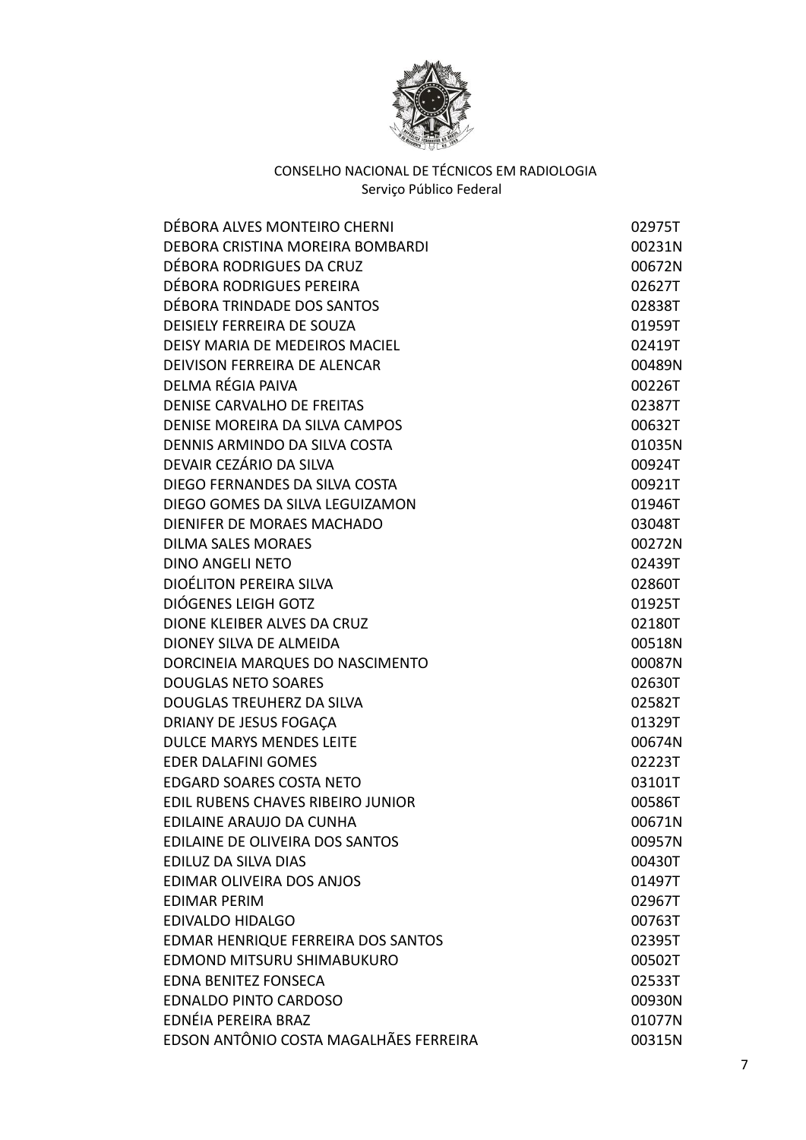

| DÉBORA ALVES MONTEIRO CHERNI           | 02975T |
|----------------------------------------|--------|
| DEBORA CRISTINA MOREIRA BOMBARDI       | 00231N |
| DÉBORA RODRIGUES DA CRUZ               | 00672N |
| DÉBORA RODRIGUES PEREIRA               | 02627T |
| DÉBORA TRINDADE DOS SANTOS             | 02838T |
| <b>DEISIELY FERREIRA DE SOUZA</b>      | 01959T |
| DEISY MARIA DE MEDEIROS MACIEL         | 02419T |
| DEIVISON FERREIRA DE ALENCAR           | 00489N |
| DELMA RÉGIA PAIVA                      | 00226T |
| <b>DENISE CARVALHO DE FREITAS</b>      | 02387T |
| DENISE MOREIRA DA SILVA CAMPOS         | 00632T |
| DENNIS ARMINDO DA SILVA COSTA          | 01035N |
| DEVAIR CEZÁRIO DA SILVA                | 00924T |
| DIEGO FERNANDES DA SILVA COSTA         | 00921T |
| DIEGO GOMES DA SILVA LEGUIZAMON        | 01946T |
| DIENIFER DE MORAES MACHADO             | 03048T |
| <b>DILMA SALES MORAES</b>              | 00272N |
| <b>DINO ANGELI NETO</b>                | 02439T |
| <b>DIOÉLITON PEREIRA SILVA</b>         | 02860T |
| DIÓGENES LEIGH GOTZ                    | 01925T |
| DIONE KLEIBER ALVES DA CRUZ            | 02180T |
| DIONEY SILVA DE ALMEIDA                | 00518N |
| DORCINEIA MARQUES DO NASCIMENTO        | 00087N |
| <b>DOUGLAS NETO SOARES</b>             | 02630T |
| DOUGLAS TREUHERZ DA SILVA              | 02582T |
| DRIANY DE JESUS FOGAÇA                 | 01329T |
| <b>DULCE MARYS MENDES LEITE</b>        | 00674N |
| <b>EDER DALAFINI GOMES</b>             | 02223T |
| <b>EDGARD SOARES COSTA NETO</b>        | 03101T |
| EDIL RUBENS CHAVES RIBEIRO JUNIOR      | 00586T |
| EDILAINE ARAUJO DA CUNHA               | 00671N |
| EDILAINE DE OLIVEIRA DOS SANTOS        | 00957N |
| EDILUZ DA SILVA DIAS                   | 00430T |
| EDIMAR OLIVEIRA DOS ANJOS              | 01497T |
| <b>EDIMAR PERIM</b>                    | 02967T |
| <b>EDIVALDO HIDALGO</b>                | 00763T |
| EDMAR HENRIQUE FERREIRA DOS SANTOS     | 02395T |
| EDMOND MITSURU SHIMABUKURO             | 00502T |
| <b>EDNA BENITEZ FONSECA</b>            | 02533T |
| <b>EDNALDO PINTO CARDOSO</b>           | 00930N |
| EDNÉIA PEREIRA BRAZ                    | 01077N |
| EDSON ANTÔNIO COSTA MAGALHÃES FERREIRA | 00315N |
|                                        |        |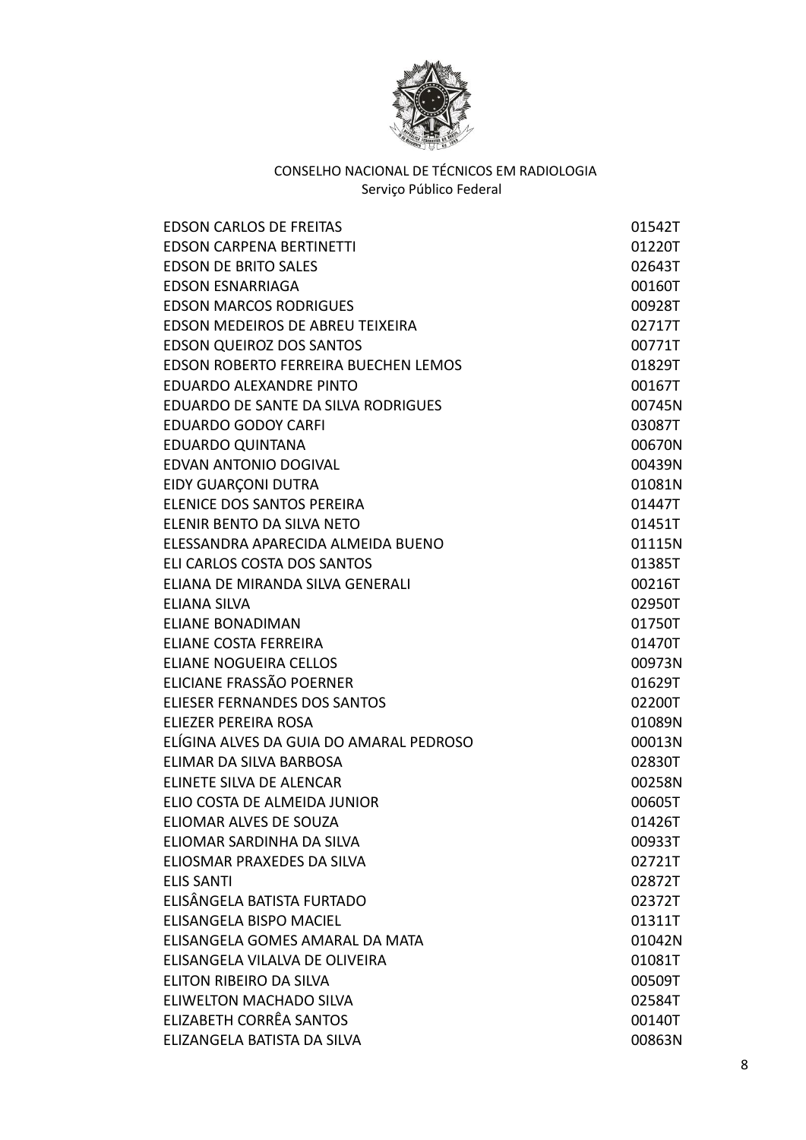

| <b>EDSON CARLOS DE FREITAS</b>          | 01542T |
|-----------------------------------------|--------|
| <b>EDSON CARPENA BERTINETTI</b>         | 01220T |
| <b>EDSON DE BRITO SALES</b>             | 02643T |
| <b>EDSON ESNARRIAGA</b>                 | 00160T |
| <b>EDSON MARCOS RODRIGUES</b>           | 00928T |
| EDSON MEDEIROS DE ABREU TEIXEIRA        | 02717T |
| EDSON QUEIROZ DOS SANTOS                | 00771T |
| EDSON ROBERTO FERREIRA BUECHEN LEMOS    | 01829T |
| EDUARDO ALEXANDRE PINTO                 | 00167T |
| EDUARDO DE SANTE DA SILVA RODRIGUES     | 00745N |
| <b>EDUARDO GODOY CARFI</b>              | 03087T |
| <b>EDUARDO QUINTANA</b>                 | 00670N |
| EDVAN ANTONIO DOGIVAL                   | 00439N |
| EIDY GUARÇONI DUTRA                     | 01081N |
| ELENICE DOS SANTOS PEREIRA              | 01447T |
| ELENIR BENTO DA SILVA NETO              | 01451T |
| ELESSANDRA APARECIDA ALMEIDA BUENO      | 01115N |
| ELI CARLOS COSTA DOS SANTOS             | 01385T |
| ELIANA DE MIRANDA SILVA GENERALI        | 00216T |
| <b>ELIANA SILVA</b>                     | 02950T |
| <b>ELIANE BONADIMAN</b>                 | 01750T |
| <b>ELIANE COSTA FERREIRA</b>            | 01470T |
| <b>ELIANE NOGUEIRA CELLOS</b>           | 00973N |
| ELICIANE FRASSÃO POERNER                | 01629T |
| ELIESER FERNANDES DOS SANTOS            | 02200T |
| ELIEZER PEREIRA ROSA                    | 01089N |
| ELÍGINA ALVES DA GUIA DO AMARAL PEDROSO | 00013N |
| ELIMAR DA SILVA BARBOSA                 | 02830T |
| ELINETE SILVA DE ALENCAR                | 00258N |
| ELIO COSTA DE ALMEIDA JUNIOR            | 00605T |
| ELIOMAR ALVES DE SOUZA                  | 01426T |
| ELIOMAR SARDINHA DA SILVA               | 00933T |
| ELIOSMAR PRAXEDES DA SILVA              | 02721T |
| <b>ELIS SANTI</b>                       | 02872T |
| ELISÂNGELA BATISTA FURTADO              | 02372T |
| ELISANGELA BISPO MACIEL                 | 01311T |
| ELISANGELA GOMES AMARAL DA MATA         | 01042N |
| ELISANGELA VILALVA DE OLIVEIRA          | 01081T |
| ELITON RIBEIRO DA SILVA                 | 00509T |
| <b>ELIWELTON MACHADO SILVA</b>          | 02584T |
| ELIZABETH CORRÊA SANTOS                 | 00140T |
| ELIZANGELA BATISTA DA SILVA             | 00863N |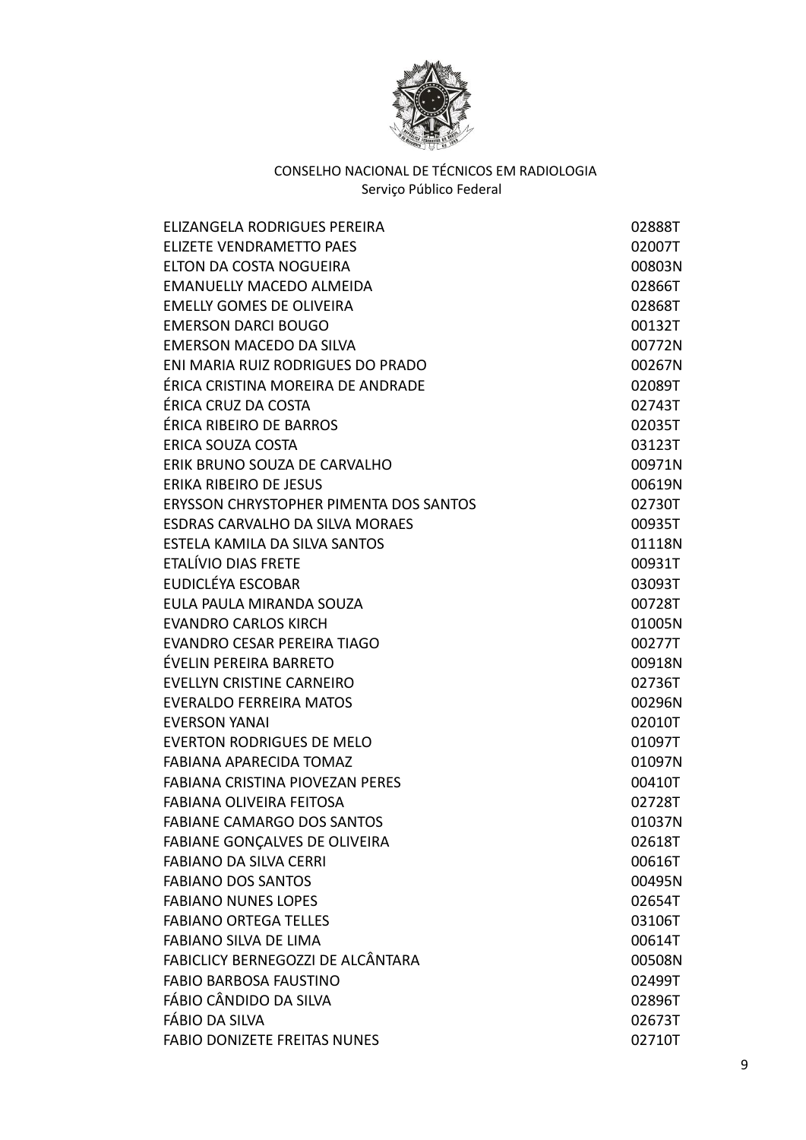

| ELIZANGELA RODRIGUES PEREIRA           | 02888T |
|----------------------------------------|--------|
| <b>ELIZETE VENDRAMETTO PAES</b>        | 02007T |
| ELTON DA COSTA NOGUEIRA                | 00803N |
| <b>EMANUELLY MACEDO ALMEIDA</b>        | 02866T |
| <b>EMELLY GOMES DE OLIVEIRA</b>        | 02868T |
| <b>EMERSON DARCI BOUGO</b>             | 00132T |
| <b>EMERSON MACEDO DA SILVA</b>         | 00772N |
| ENI MARIA RUIZ RODRIGUES DO PRADO      | 00267N |
| ÉRICA CRISTINA MOREIRA DE ANDRADE      | 02089T |
| ÉRICA CRUZ DA COSTA                    | 02743T |
| ÉRICA RIBEIRO DE BARROS                | 02035T |
| ERICA SOUZA COSTA                      | 03123T |
| ERIK BRUNO SOUZA DE CARVALHO           | 00971N |
| <b>ERIKA RIBEIRO DE JESUS</b>          | 00619N |
| ERYSSON CHRYSTOPHER PIMENTA DOS SANTOS | 02730T |
| <b>ESDRAS CARVALHO DA SILVA MORAES</b> | 00935T |
| ESTELA KAMILA DA SILVA SANTOS          | 01118N |
| ETALÍVIO DIAS FRETE                    | 00931T |
| EUDICLÉYA ESCOBAR                      | 03093T |
| EULA PAULA MIRANDA SOUZA               | 00728T |
| <b>EVANDRO CARLOS KIRCH</b>            | 01005N |
| EVANDRO CESAR PEREIRA TIAGO            | 00277T |
| ÉVELIN PEREIRA BARRETO                 | 00918N |
| <b>EVELLYN CRISTINE CARNEIRO</b>       | 02736T |
| <b>EVERALDO FERREIRA MATOS</b>         | 00296N |
| <b>EVERSON YANAI</b>                   | 02010T |
| <b>EVERTON RODRIGUES DE MELO</b>       | 01097T |
| <b>FABIANA APARECIDA TOMAZ</b>         | 01097N |
| FABIANA CRISTINA PIOVEZAN PERES        | 00410T |
| <b>FABIANA OLIVEIRA FEITOSA</b>        | 02728T |
| <b>FABIANE CAMARGO DOS SANTOS</b>      | 01037N |
| FABIANE GONÇALVES DE OLIVEIRA          | 02618T |
| <b>FABIANO DA SILVA CERRI</b>          | 00616T |
| <b>FABIANO DOS SANTOS</b>              | 00495N |
| <b>FABIANO NUNES LOPES</b>             | 02654T |
| <b>FABIANO ORTEGA TELLES</b>           | 03106T |
| <b>FABIANO SILVA DE LIMA</b>           | 00614T |
| FABICLICY BERNEGOZZI DE ALCÂNTARA      | 00508N |
| <b>FABIO BARBOSA FAUSTINO</b>          | 02499T |
| FÁBIO CÂNDIDO DA SILVA                 | 02896T |
| FÁBIO DA SILVA                         | 02673T |
| <b>FABIO DONIZETE FREITAS NUNES</b>    | 02710T |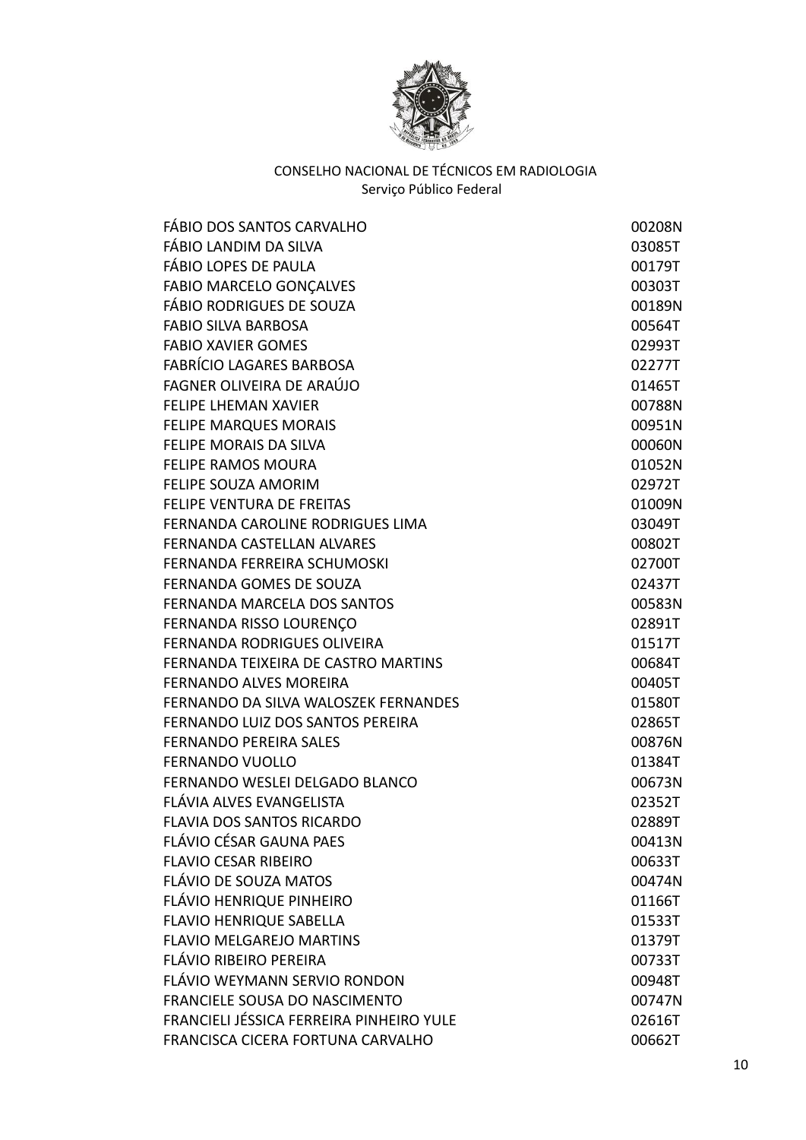

| FÁBIO DOS SANTOS CARVALHO                | 00208N |
|------------------------------------------|--------|
| FÁBIO LANDIM DA SILVA                    | 03085T |
| FÁBIO LOPES DE PAULA                     | 00179T |
| <b>FABIO MARCELO GONÇALVES</b>           | 00303T |
| FÁBIO RODRIGUES DE SOUZA                 | 00189N |
| <b>FABIO SILVA BARBOSA</b>               | 00564T |
| <b>FABIO XAVIER GOMES</b>                | 02993T |
| <b>FABRÍCIO LAGARES BARBOSA</b>          | 02277T |
| FAGNER OLIVEIRA DE ARAÚJO                | 01465T |
| <b>FELIPE LHEMAN XAVIER</b>              | 00788N |
| <b>FELIPE MARQUES MORAIS</b>             | 00951N |
| <b>FELIPE MORAIS DA SILVA</b>            | 00060N |
| <b>FELIPE RAMOS MOURA</b>                | 01052N |
| <b>FELIPE SOUZA AMORIM</b>               | 02972T |
| <b>FELIPE VENTURA DE FREITAS</b>         | 01009N |
| FERNANDA CAROLINE RODRIGUES LIMA         | 03049T |
| FERNANDA CASTELLAN ALVARES               | 00802T |
| FERNANDA FERREIRA SCHUMOSKI              | 02700T |
| FERNANDA GOMES DE SOUZA                  | 02437T |
| FERNANDA MARCELA DOS SANTOS              | 00583N |
| FERNANDA RISSO LOURENÇO                  | 02891T |
| <b>FERNANDA RODRIGUES OLIVEIRA</b>       | 01517T |
| FERNANDA TEIXEIRA DE CASTRO MARTINS      | 00684T |
| <b>FERNANDO ALVES MOREIRA</b>            | 00405T |
| FERNANDO DA SILVA WALOSZEK FERNANDES     | 01580T |
| FERNANDO LUIZ DOS SANTOS PEREIRA         | 02865T |
| <b>FERNANDO PEREIRA SALES</b>            | 00876N |
| <b>FERNANDO VUOLLO</b>                   | 01384T |
| FERNANDO WESLEI DELGADO BLANCO           | 00673N |
| FLÁVIA ALVES EVANGELISTA                 | 02352T |
| <b>FLAVIA DOS SANTOS RICARDO</b>         | 02889T |
| FLÁVIO CÉSAR GAUNA PAES                  | 00413N |
| <b>FLAVIO CESAR RIBEIRO</b>              | 00633T |
| FLÁVIO DE SOUZA MATOS                    | 00474N |
| FLÁVIO HENRIQUE PINHEIRO                 | 01166T |
| <b>FLAVIO HENRIQUE SABELLA</b>           | 01533T |
| <b>FLAVIO MELGAREJO MARTINS</b>          | 01379T |
| FLÁVIO RIBEIRO PEREIRA                   | 00733T |
| FLÁVIO WEYMANN SERVIO RONDON             | 00948T |
| <b>FRANCIELE SOUSA DO NASCIMENTO</b>     | 00747N |
| FRANCIELI JÉSSICA FERREIRA PINHEIRO YULE | 02616T |
| FRANCISCA CICERA FORTUNA CARVALHO        | 00662T |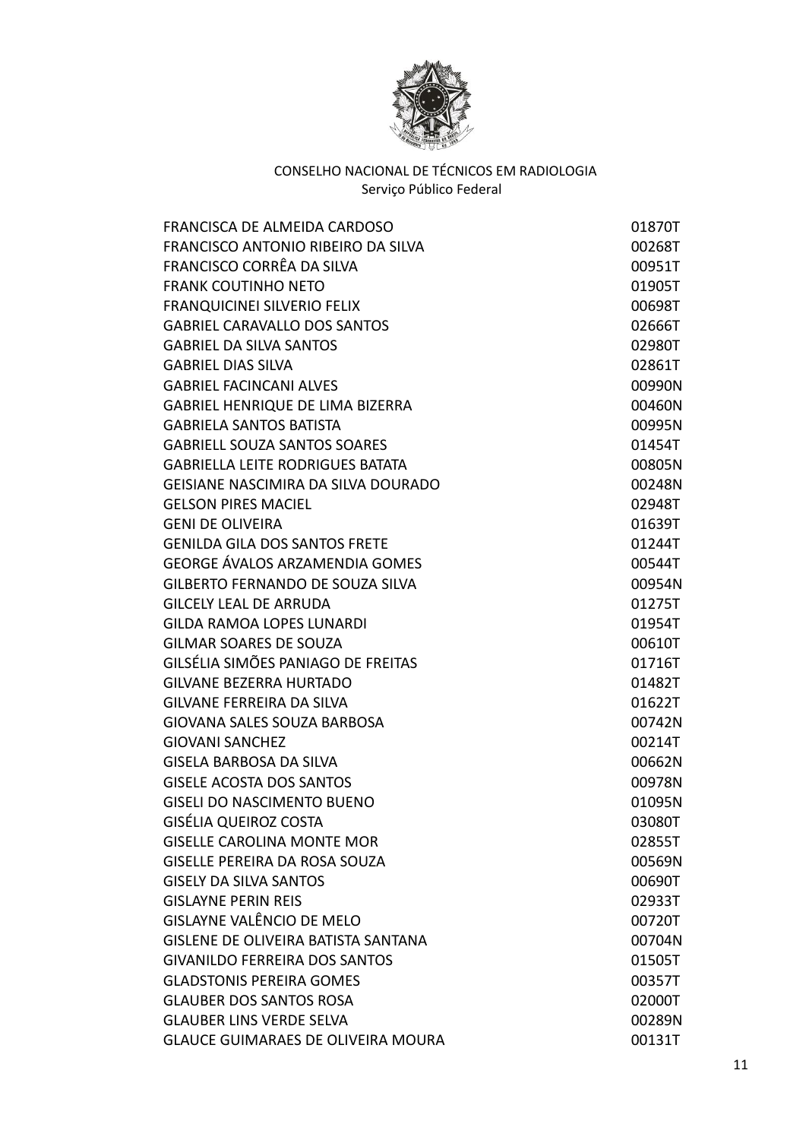

| FRANCISCA DE ALMEIDA CARDOSO               | 01870T |
|--------------------------------------------|--------|
| FRANCISCO ANTONIO RIBEIRO DA SILVA         | 00268T |
| FRANCISCO CORRÊA DA SILVA                  | 00951T |
| <b>FRANK COUTINHO NETO</b>                 | 01905T |
| <b>FRANQUICINEI SILVERIO FELIX</b>         | 00698T |
| <b>GABRIEL CARAVALLO DOS SANTOS</b>        | 02666T |
| <b>GABRIEL DA SILVA SANTOS</b>             | 02980T |
| <b>GABRIEL DIAS SILVA</b>                  | 02861T |
| <b>GABRIEL FACINCANI ALVES</b>             | 00990N |
| GABRIEL HENRIQUE DE LIMA BIZERRA           | 00460N |
| <b>GABRIELA SANTOS BATISTA</b>             | 00995N |
| <b>GABRIELL SOUZA SANTOS SOARES</b>        | 01454T |
| <b>GABRIELLA LEITE RODRIGUES BATATA</b>    | 00805N |
| GEISIANE NASCIMIRA DA SILVA DOURADO        | 00248N |
| <b>GELSON PIRES MACIEL</b>                 | 02948T |
| <b>GENI DE OLIVEIRA</b>                    | 01639T |
| <b>GENILDA GILA DOS SANTOS FRETE</b>       | 01244T |
| <b>GEORGE ÁVALOS ARZAMENDIA GOMES</b>      | 00544T |
| GILBERTO FERNANDO DE SOUZA SILVA           | 00954N |
| <b>GILCELY LEAL DE ARRUDA</b>              | 01275T |
| <b>GILDA RAMOA LOPES LUNARDI</b>           | 01954T |
| <b>GILMAR SOARES DE SOUZA</b>              | 00610T |
| GILSÉLIA SIMÕES PANIAGO DE FREITAS         | 01716T |
| <b>GILVANE BEZERRA HURTADO</b>             | 01482T |
| <b>GILVANE FERREIRA DA SILVA</b>           | 01622T |
| <b>GIOVANA SALES SOUZA BARBOSA</b>         | 00742N |
| <b>GIOVANI SANCHEZ</b>                     | 00214T |
| <b>GISELA BARBOSA DA SILVA</b>             | 00662N |
| <b>GISELE ACOSTA DOS SANTOS</b>            | 00978N |
| <b>GISELI DO NASCIMENTO BUENO</b>          | 01095N |
| GISÉLIA QUEIROZ COSTA                      | 03080T |
| <b>GISELLE CAROLINA MONTE MOR</b>          | 02855T |
| <b>GISELLE PEREIRA DA ROSA SOUZA</b>       | 00569N |
| <b>GISELY DA SILVA SANTOS</b>              | 00690T |
| <b>GISLAYNE PERIN REIS</b>                 | 02933T |
| GISLAYNE VALÊNCIO DE MELO                  | 00720T |
| <b>GISLENE DE OLIVEIRA BATISTA SANTANA</b> | 00704N |
| <b>GIVANILDO FERREIRA DOS SANTOS</b>       | 01505T |
| <b>GLADSTONIS PEREIRA GOMES</b>            | 00357T |
| <b>GLAUBER DOS SANTOS ROSA</b>             | 02000T |
| <b>GLAUBER LINS VERDE SELVA</b>            | 00289N |
| <b>GLAUCE GUIMARAES DE OLIVEIRA MOURA</b>  | 00131T |
|                                            |        |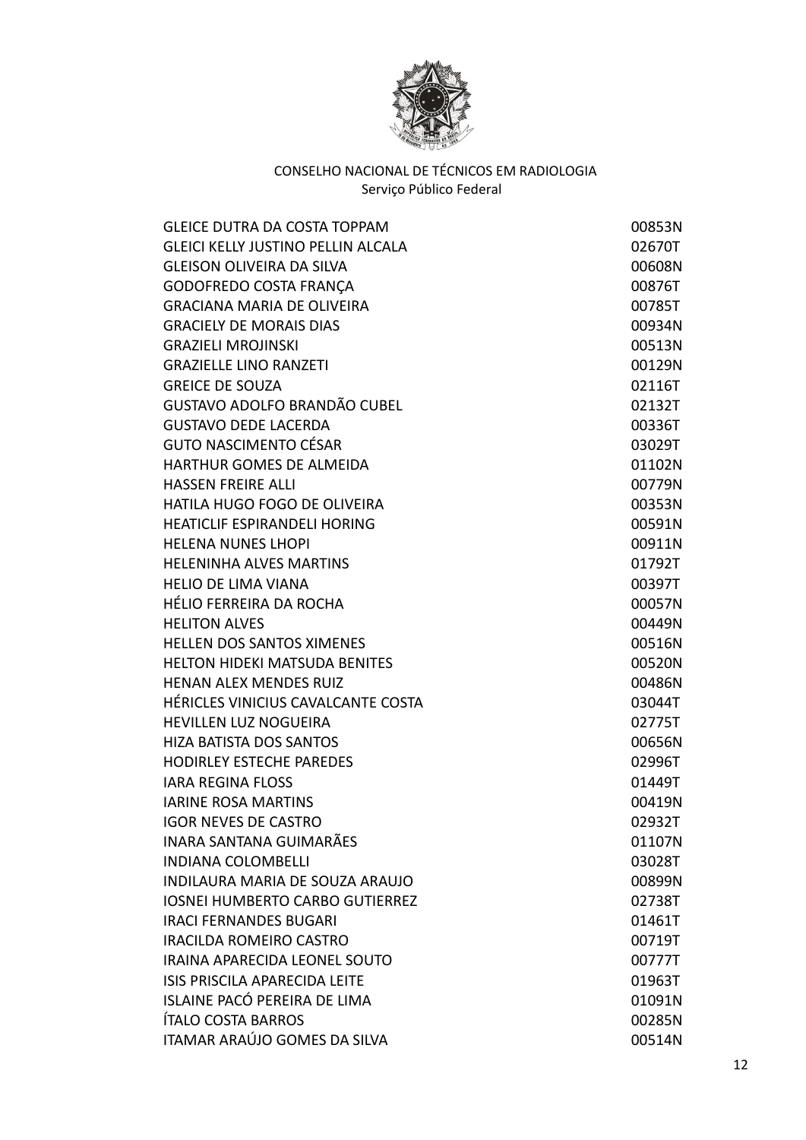

| <b>GLEICE DUTRA DA COSTA TOPPAM</b>       | 00853N |
|-------------------------------------------|--------|
| <b>GLEICI KELLY JUSTINO PELLIN ALCALA</b> | 02670T |
| <b>GLEISON OLIVEIRA DA SILVA</b>          | 00608N |
| GODOFREDO COSTA FRANÇA                    | 00876T |
| <b>GRACIANA MARIA DE OLIVEIRA</b>         | 00785T |
| <b>GRACIELY DE MORAIS DIAS</b>            | 00934N |
| <b>GRAZIELI MROJINSKI</b>                 | 00513N |
| <b>GRAZIELLE LINO RANZETI</b>             | 00129N |
| <b>GREICE DE SOUZA</b>                    | 02116T |
| <b>GUSTAVO ADOLFO BRANDÃO CUBEL</b>       | 02132T |
| <b>GUSTAVO DEDE LACERDA</b>               | 00336T |
| <b>GUTO NASCIMENTO CÉSAR</b>              | 03029T |
| HARTHUR GOMES DE ALMEIDA                  | 01102N |
| <b>HASSEN FREIRE ALLI</b>                 | 00779N |
| HATILA HUGO FOGO DE OLIVEIRA              | 00353N |
| <b>HEATICLIF ESPIRANDELI HORING</b>       | 00591N |
| <b>HELENA NUNES LHOPI</b>                 | 00911N |
| <b>HELENINHA ALVES MARTINS</b>            | 01792T |
| <b>HELIO DE LIMA VIANA</b>                | 00397T |
| HÉLIO FERREIRA DA ROCHA                   | 00057N |
| <b>HELITON ALVES</b>                      | 00449N |
| <b>HELLEN DOS SANTOS XIMENES</b>          | 00516N |
| <b>HELTON HIDEKI MATSUDA BENITES</b>      | 00520N |
| <b>HENAN ALEX MENDES RUIZ</b>             | 00486N |
| HÉRICLES VINICIUS CAVALCANTE COSTA        | 03044T |
| <b>HEVILLEN LUZ NOGUEIRA</b>              | 02775T |
| <b>HIZA BATISTA DOS SANTOS</b>            | 00656N |
| <b>HODIRLEY ESTECHE PAREDES</b>           | 02996T |
| <b>IARA REGINA FLOSS</b>                  | 01449T |
| <b>IARINE ROSA MARTINS</b>                | 00419N |
| <b>IGOR NEVES DE CASTRO</b>               | 02932T |
| <b>INARA SANTANA GUIMARÃES</b>            | 01107N |
| <b>INDIANA COLOMBELLI</b>                 | 03028T |
| INDILAURA MARIA DE SOUZA ARAUJO           | 00899N |
| <b>IOSNEI HUMBERTO CARBO GUTIERREZ</b>    | 02738T |
| <b>IRACI FERNANDES BUGARI</b>             | 01461T |
| <b>IRACILDA ROMEIRO CASTRO</b>            | 00719T |
| IRAINA APARECIDA LEONEL SOUTO             | 00777T |
| <b>ISIS PRISCILA APARECIDA LEITE</b>      | 01963T |
| ISLAINE PACÓ PEREIRA DE LIMA              | 01091N |
| ÍTALO COSTA BARROS                        | 00285N |
| ITAMAR ARAÚJO GOMES DA SILVA              | 00514N |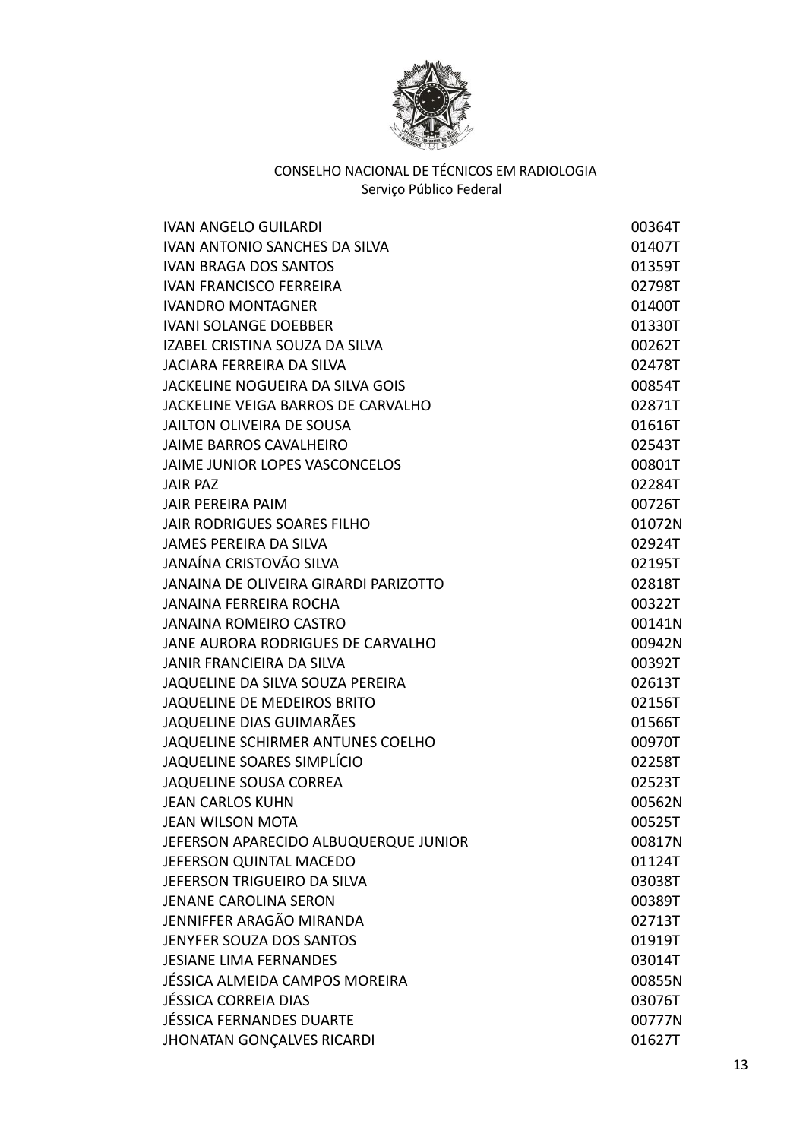

| IVAN ANGELO GUILARDI                  | 00364T |
|---------------------------------------|--------|
| <b>IVAN ANTONIO SANCHES DA SILVA</b>  | 01407T |
| <b>IVAN BRAGA DOS SANTOS</b>          | 01359T |
| <b>IVAN FRANCISCO FERREIRA</b>        | 02798T |
| <b>IVANDRO MONTAGNER</b>              | 01400T |
| <b>IVANI SOLANGE DOEBBER</b>          | 01330T |
| IZABEL CRISTINA SOUZA DA SILVA        | 00262T |
| <b>JACIARA FERREIRA DA SILVA</b>      | 02478T |
| JACKELINE NOGUEIRA DA SILVA GOIS      | 00854T |
| JACKELINE VEIGA BARROS DE CARVALHO    | 02871T |
| JAILTON OLIVEIRA DE SOUSA             | 01616T |
| JAIME BARROS CAVALHEIRO               | 02543T |
| JAIME JUNIOR LOPES VASCONCELOS        | 00801T |
| <b>JAIR PAZ</b>                       | 02284T |
| <b>JAIR PEREIRA PAIM</b>              | 00726T |
| JAIR RODRIGUES SOARES FILHO           | 01072N |
| <b>JAMES PEREIRA DA SILVA</b>         | 02924T |
| JANAÍNA CRISTOVÃO SILVA               | 02195T |
| JANAINA DE OLIVEIRA GIRARDI PARIZOTTO | 02818T |
| <b>JANAINA FERREIRA ROCHA</b>         | 00322T |
| <b>JANAINA ROMEIRO CASTRO</b>         | 00141N |
| JANE AURORA RODRIGUES DE CARVALHO     | 00942N |
| JANIR FRANCIEIRA DA SILVA             | 00392T |
| JAQUELINE DA SILVA SOUZA PEREIRA      | 02613T |
| JAQUELINE DE MEDEIROS BRITO           | 02156T |
| JAQUELINE DIAS GUIMARÃES              | 01566T |
| JAQUELINE SCHIRMER ANTUNES COELHO     | 00970T |
| JAQUELINE SOARES SIMPLÍCIO            | 02258T |
| <b>JAQUELINE SOUSA CORREA</b>         | 02523T |
| <b>JEAN CARLOS KUHN</b>               | 00562N |
| <b>JEAN WILSON MOTA</b>               | 00525T |
| JEFERSON APARECIDO ALBUQUERQUE JUNIOR | 00817N |
| JEFERSON QUINTAL MACEDO               | 01124T |
| JEFERSON TRIGUEIRO DA SILVA           | 03038T |
| <b>JENANE CAROLINA SERON</b>          | 00389T |
| JENNIFFER ARAGÃO MIRANDA              | 02713T |
| JENYFER SOUZA DOS SANTOS              | 01919T |
| <b>JESIANE LIMA FERNANDES</b>         | 03014T |
| JÉSSICA ALMEIDA CAMPOS MOREIRA        | 00855N |
| <b>JÉSSICA CORREIA DIAS</b>           | 03076T |
| <b>JÉSSICA FERNANDES DUARTE</b>       | 00777N |
| <b>JHONATAN GONÇALVES RICARDI</b>     | 01627T |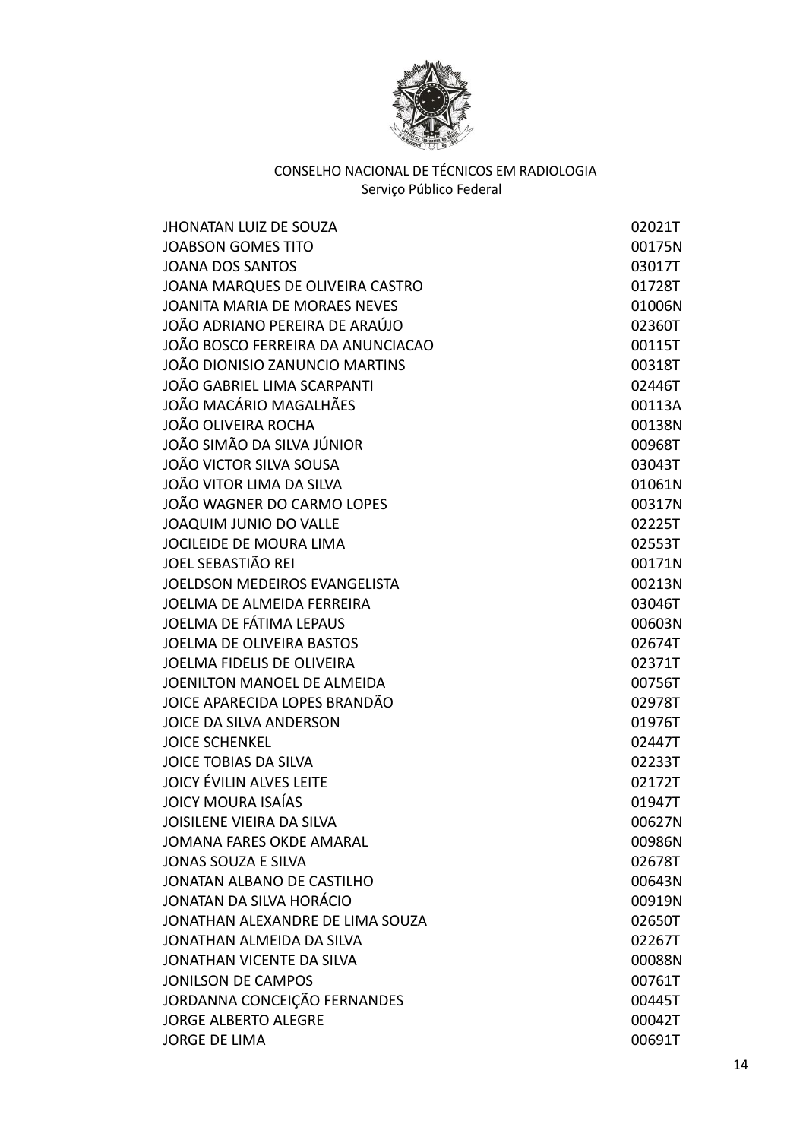

| <b>JHONATAN LUIZ DE SOUZA</b>     | 02021T |
|-----------------------------------|--------|
| <b>JOABSON GOMES TITO</b>         | 00175N |
| <b>JOANA DOS SANTOS</b>           | 03017T |
| JOANA MARQUES DE OLIVEIRA CASTRO  | 01728T |
| JOANITA MARIA DE MORAES NEVES     | 01006N |
| JOÃO ADRIANO PEREIRA DE ARAÚJO    | 02360T |
| JOÃO BOSCO FERREIRA DA ANUNCIACAO | 00115T |
| JOÃO DIONISIO ZANUNCIO MARTINS    | 00318T |
| JOÃO GABRIEL LIMA SCARPANTI       | 02446T |
| JOÃO MACÁRIO MAGALHÃES            | 00113A |
| JOÃO OLIVEIRA ROCHA               | 00138N |
| JOÃO SIMÃO DA SILVA JÚNIOR        | 00968T |
| JOÃO VICTOR SILVA SOUSA           | 03043T |
| JOÃO VITOR LIMA DA SILVA          | 01061N |
| JOÃO WAGNER DO CARMO LOPES        | 00317N |
| JOAQUIM JUNIO DO VALLE            | 02225T |
| JOCILEIDE DE MOURA LIMA           | 02553T |
| <b>JOEL SEBASTIÃO REI</b>         | 00171N |
| JOELDSON MEDEIROS EVANGELISTA     | 00213N |
| <b>JOELMA DE ALMEIDA FERREIRA</b> | 03046T |
| JOELMA DE FÁTIMA LEPAUS           | 00603N |
| <b>JOELMA DE OLIVEIRA BASTOS</b>  | 02674T |
| JOELMA FIDELIS DE OLIVEIRA        | 02371T |
| JOENILTON MANOEL DE ALMEIDA       | 00756T |
| JOICE APARECIDA LOPES BRANDÃO     | 02978T |
| JOICE DA SILVA ANDERSON           | 01976T |
| <b>JOICE SCHENKEL</b>             | 02447T |
| JOICE TOBIAS DA SILVA             | 02233T |
| <b>JOICY ÉVILIN ALVES LEITE</b>   | 02172T |
| <b>JOICY MOURA ISAÍAS</b>         | 01947T |
| JOISILENE VIEIRA DA SILVA         | 00627N |
| <b>JOMANA FARES OKDE AMARAL</b>   | 00986N |
| <b>JONAS SOUZA E SILVA</b>        | 02678T |
| JONATAN ALBANO DE CASTILHO        | 00643N |
| JONATAN DA SILVA HORÁCIO          | 00919N |
| JONATHAN ALEXANDRE DE LIMA SOUZA  | 02650T |
| JONATHAN ALMEIDA DA SILVA         | 02267T |
| JONATHAN VICENTE DA SILVA         | 00088N |
| <b>JONILSON DE CAMPOS</b>         | 00761T |
| JORDANNA CONCEIÇÃO FERNANDES      | 00445T |
| <b>JORGE ALBERTO ALEGRE</b>       | 00042T |
| <b>JORGE DE LIMA</b>              | 00691T |
|                                   |        |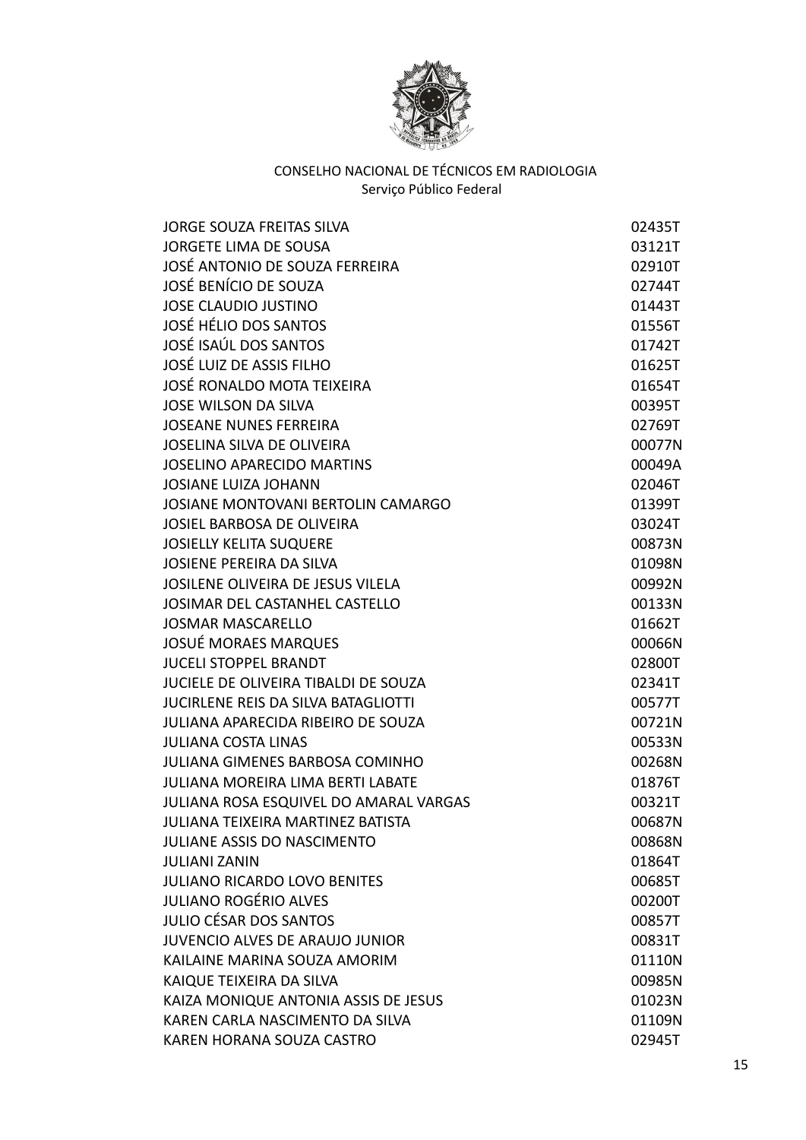

| <b>JORGE SOUZA FREITAS SILVA</b>           | 02435T |
|--------------------------------------------|--------|
| <b>JORGETE LIMA DE SOUSA</b>               | 03121T |
| JOSÉ ANTONIO DE SOUZA FERREIRA             | 02910T |
| JOSÉ BENÍCIO DE SOUZA                      | 02744T |
| <b>JOSE CLAUDIO JUSTINO</b>                | 01443T |
| JOSÉ HÉLIO DOS SANTOS                      | 01556T |
| JOSÉ ISAÚL DOS SANTOS                      | 01742T |
| <b>JOSÉ LUIZ DE ASSIS FILHO</b>            | 01625T |
| JOSÉ RONALDO MOTA TEIXEIRA                 | 01654T |
| <b>JOSE WILSON DA SILVA</b>                | 00395T |
| <b>JOSEANE NUNES FERREIRA</b>              | 02769T |
| <b>JOSELINA SILVA DE OLIVEIRA</b>          | 00077N |
| <b>JOSELINO APARECIDO MARTINS</b>          | 00049A |
| <b>JOSIANE LUIZA JOHANN</b>                | 02046T |
| JOSIANE MONTOVANI BERTOLIN CAMARGO         | 01399T |
| <b>JOSIEL BARBOSA DE OLIVEIRA</b>          | 03024T |
| <b>JOSIELLY KELITA SUQUERE</b>             | 00873N |
| <b>JOSIENE PEREIRA DA SILVA</b>            | 01098N |
| JOSILENE OLIVEIRA DE JESUS VILELA          | 00992N |
| JOSIMAR DEL CASTANHEL CASTELLO             | 00133N |
| <b>JOSMAR MASCARELLO</b>                   | 01662T |
| <b>JOSUÉ MORAES MARQUES</b>                | 00066N |
| <b>JUCELI STOPPEL BRANDT</b>               | 02800T |
| JUCIELE DE OLIVEIRA TIBALDI DE SOUZA       | 02341T |
| <b>JUCIRLENE REIS DA SILVA BATAGLIOTTI</b> | 00577T |
| JULIANA APARECIDA RIBEIRO DE SOUZA         | 00721N |
| <b>JULIANA COSTA LINAS</b>                 | 00533N |
| <b>JULIANA GIMENES BARBOSA COMINHO</b>     | 00268N |
| <b>JULIANA MOREIRA LIMA BERTI LABATE</b>   | 01876T |
| JULIANA ROSA ESQUIVEL DO AMARAL VARGAS     | 00321T |
| <b>JULIANA TEIXEIRA MARTINEZ BATISTA</b>   | 00687N |
| <b>JULIANE ASSIS DO NASCIMENTO</b>         | 00868N |
| <b>JULIANI ZANIN</b>                       | 01864T |
| <b>JULIANO RICARDO LOVO BENITES</b>        | 00685T |
| <b>JULIANO ROGÉRIO ALVES</b>               | 00200T |
| <b>JULIO CÉSAR DOS SANTOS</b>              | 00857T |
| <b>JUVENCIO ALVES DE ARAUJO JUNIOR</b>     | 00831T |
| KAILAINE MARINA SOUZA AMORIM               | 01110N |
| KAIQUE TEIXEIRA DA SILVA                   | 00985N |
| KAIZA MONIQUE ANTONIA ASSIS DE JESUS       | 01023N |
| KAREN CARLA NASCIMENTO DA SILVA            | 01109N |
| KAREN HORANA SOUZA CASTRO                  | 02945T |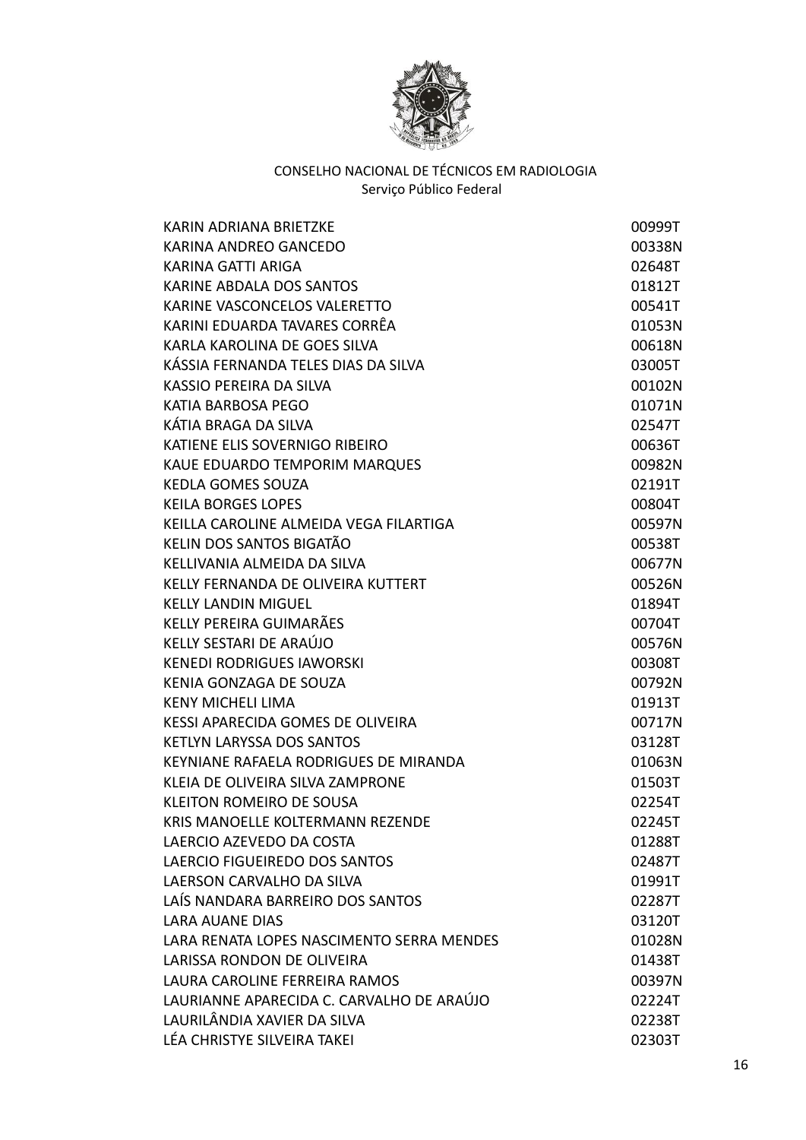

| KARIN ADRIANA BRIETZKE                    | 00999T |
|-------------------------------------------|--------|
| KARINA ANDREO GANCEDO                     | 00338N |
| KARINA GATTI ARIGA                        | 02648T |
| KARINE ABDALA DOS SANTOS                  | 01812T |
| KARINE VASCONCELOS VALERETTO              | 00541T |
| KARINI EDUARDA TAVARES CORRÊA             | 01053N |
| KARLA KAROLINA DE GOES SILVA              | 00618N |
| KÁSSIA FERNANDA TELES DIAS DA SILVA       | 03005T |
| KASSIO PEREIRA DA SILVA                   | 00102N |
| KATIA BARBOSA PEGO                        | 01071N |
| KÁTIA BRAGA DA SILVA                      | 02547T |
| KATIENE ELIS SOVERNIGO RIBEIRO            | 00636T |
| KAUE EDUARDO TEMPORIM MARQUES             | 00982N |
| <b>KEDLA GOMES SOUZA</b>                  | 02191T |
| <b>KEILA BORGES LOPES</b>                 | 00804T |
| KEILLA CAROLINE ALMEIDA VEGA FILARTIGA    | 00597N |
| KELIN DOS SANTOS BIGATÃO                  | 00538T |
| KELLIVANIA ALMEIDA DA SILVA               | 00677N |
| KELLY FERNANDA DE OLIVEIRA KUTTERT        | 00526N |
| <b>KELLY LANDIN MIGUEL</b>                | 01894T |
| KELLY PEREIRA GUIMARÃES                   | 00704T |
| KELLY SESTARI DE ARAÚJO                   | 00576N |
| <b>KENEDI RODRIGUES IAWORSKI</b>          | 00308T |
| KENIA GONZAGA DE SOUZA                    | 00792N |
| <b>KENY MICHELI LIMA</b>                  | 01913T |
| KESSI APARECIDA GOMES DE OLIVEIRA         | 00717N |
| <b>KETLYN LARYSSA DOS SANTOS</b>          | 03128T |
| KEYNIANE RAFAELA RODRIGUES DE MIRANDA     | 01063N |
| KLEIA DE OLIVEIRA SILVA ZAMPRONE          | 01503T |
| <b>KLEITON ROMEIRO DE SOUSA</b>           | 02254T |
| KRIS MANOELLE KOLTERMANN REZENDE          | 02245T |
| LAERCIO AZEVEDO DA COSTA                  | 01288T |
| LAERCIO FIGUEIREDO DOS SANTOS             | 02487T |
| LAERSON CARVALHO DA SILVA                 | 01991T |
| LAÍS NANDARA BARREIRO DOS SANTOS          | 02287T |
| <b>LARA AUANE DIAS</b>                    | 03120T |
| LARA RENATA LOPES NASCIMENTO SERRA MENDES | 01028N |
| LARISSA RONDON DE OLIVEIRA                | 01438T |
| LAURA CAROLINE FERREIRA RAMOS             | 00397N |
| LAURIANNE APARECIDA C. CARVALHO DE ARAÚJO | 02224T |
| LAURILÂNDIA XAVIER DA SILVA               | 02238T |
| LÉA CHRISTYE SILVEIRA TAKEI               | 02303T |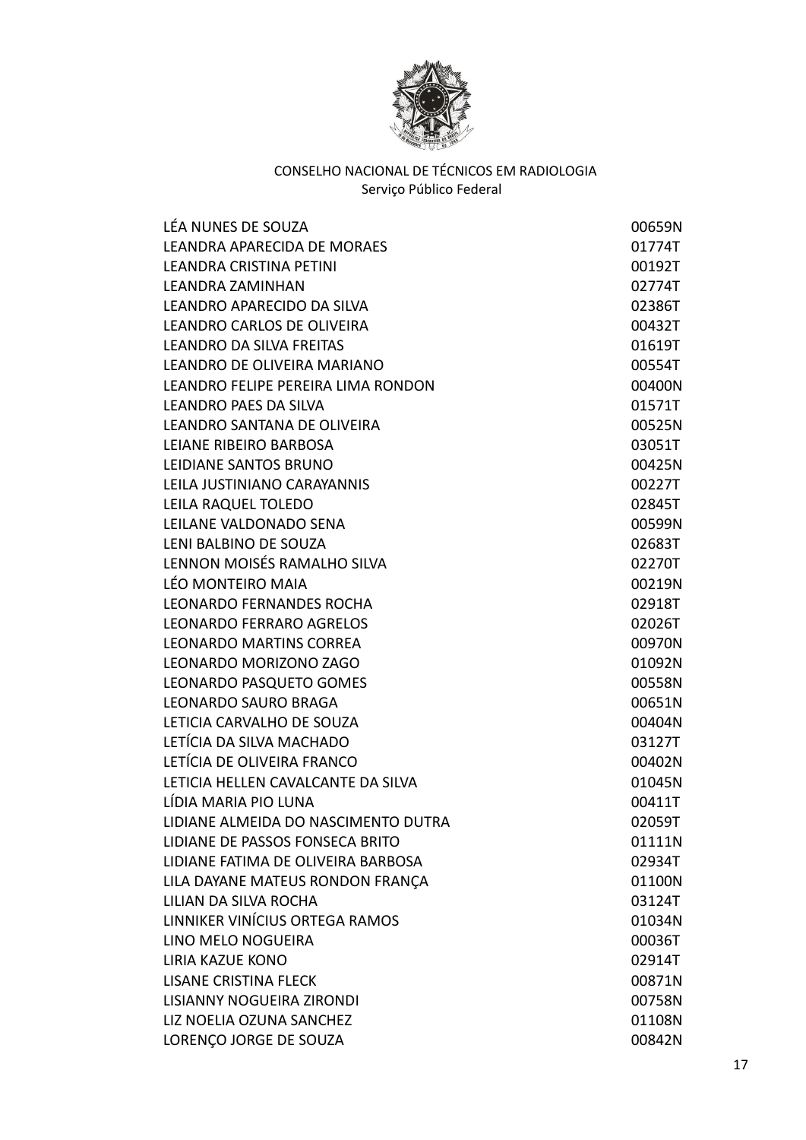

| LÉA NUNES DE SOUZA                  | 00659N |
|-------------------------------------|--------|
| LEANDRA APARECIDA DE MORAES         | 01774T |
| <b>LEANDRA CRISTINA PETINI</b>      | 00192T |
| <b>LEANDRA ZAMINHAN</b>             | 02774T |
| LEANDRO APARECIDO DA SILVA          | 02386T |
| LEANDRO CARLOS DE OLIVEIRA          | 00432T |
| <b>LEANDRO DA SILVA FREITAS</b>     | 01619T |
| LEANDRO DE OLIVEIRA MARIANO         | 00554T |
| LEANDRO FELIPE PEREIRA LIMA RONDON  | 00400N |
| LEANDRO PAES DA SILVA               | 01571T |
| LEANDRO SANTANA DE OLIVEIRA         | 00525N |
| LEIANE RIBEIRO BARBOSA              | 03051T |
| LEIDIANE SANTOS BRUNO               | 00425N |
| LEILA JUSTINIANO CARAYANNIS         | 00227T |
| LEILA RAQUEL TOLEDO                 | 02845T |
| LEILANE VALDONADO SENA              | 00599N |
| LENI BALBINO DE SOUZA               | 02683T |
| LENNON MOISÉS RAMALHO SILVA         | 02270T |
| LÉO MONTEIRO MAIA                   | 00219N |
| <b>LEONARDO FERNANDES ROCHA</b>     | 02918T |
| <b>LEONARDO FERRARO AGRELOS</b>     | 02026T |
| <b>LEONARDO MARTINS CORREA</b>      | 00970N |
| LEONARDO MORIZONO ZAGO              | 01092N |
| LEONARDO PASQUETO GOMES             | 00558N |
| LEONARDO SAURO BRAGA                | 00651N |
| LETICIA CARVALHO DE SOUZA           | 00404N |
| LETÍCIA DA SILVA MACHADO            | 03127T |
| LETÍCIA DE OLIVEIRA FRANCO          | 00402N |
| LETICIA HELLEN CAVALCANTE DA SILVA  | 01045N |
| LÍDIA MARIA PIO LUNA                | 00411T |
| LIDIANE ALMEIDA DO NASCIMENTO DUTRA | 02059T |
| LIDIANE DE PASSOS FONSECA BRITO     | 01111N |
| LIDIANE FATIMA DE OLIVEIRA BARBOSA  | 02934T |
| LILA DAYANE MATEUS RONDON FRANÇA    | 01100N |
| LILIAN DA SILVA ROCHA               | 03124T |
| LINNIKER VINÍCIUS ORTEGA RAMOS      | 01034N |
| LINO MELO NOGUEIRA                  | 00036T |
| <b>LIRIA KAZUE KONO</b>             | 02914T |
| <b>LISANE CRISTINA FLECK</b>        | 00871N |
| LISIANNY NOGUEIRA ZIRONDI           | 00758N |
| LIZ NOELIA OZUNA SANCHEZ            | 01108N |
| LORENÇO JORGE DE SOUZA              | 00842N |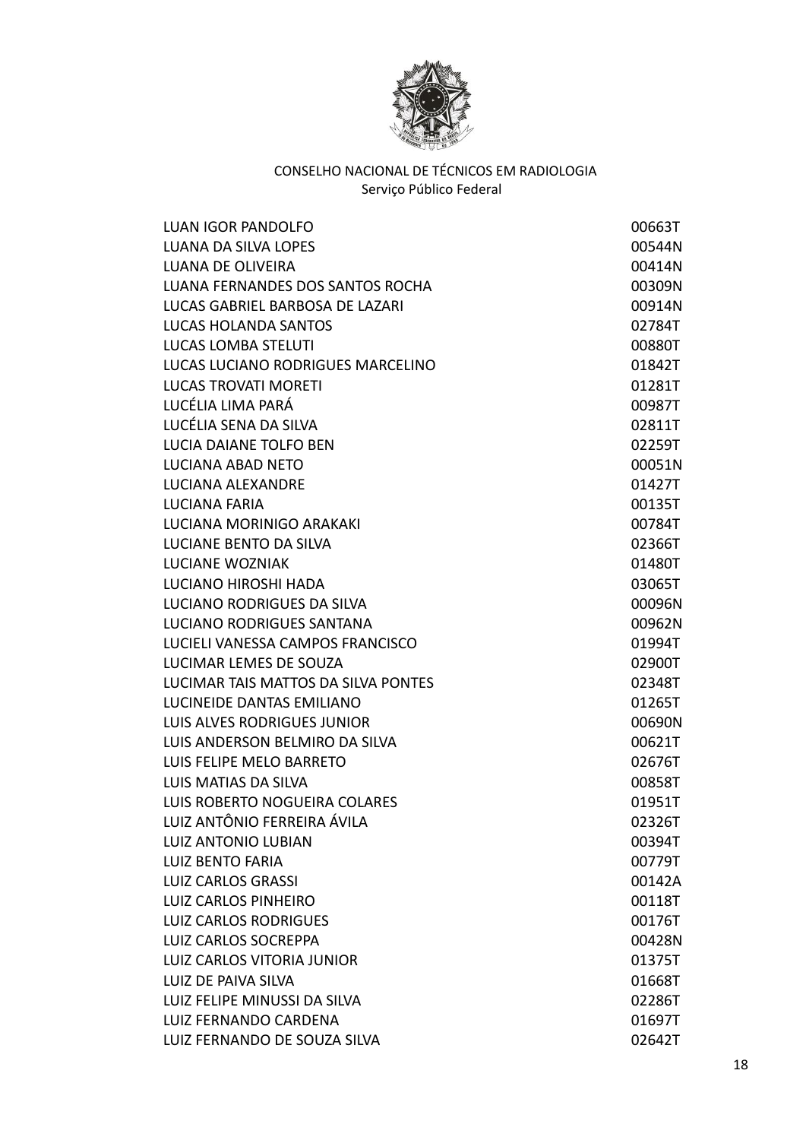

| LUAN IGOR PANDOLFO                  | 00663T |
|-------------------------------------|--------|
| LUANA DA SILVA LOPES                | 00544N |
| LUANA DE OLIVEIRA                   | 00414N |
| LUANA FERNANDES DOS SANTOS ROCHA    | 00309N |
| LUCAS GABRIEL BARBOSA DE LAZARI     | 00914N |
| <b>LUCAS HOLANDA SANTOS</b>         | 02784T |
| LUCAS LOMBA STELUTI                 | 00880T |
| LUCAS LUCIANO RODRIGUES MARCELINO   | 01842T |
| <b>LUCAS TROVATI MORETI</b>         | 01281T |
| LUCÉLIA LIMA PARÁ                   | 00987T |
| LUCÉLIA SENA DA SILVA               | 02811T |
| LUCIA DAIANE TOLFO BEN              | 02259T |
| <b>LUCIANA ABAD NETO</b>            | 00051N |
| LUCIANA ALEXANDRE                   | 01427T |
| LUCIANA FARIA                       | 00135T |
| LUCIANA MORINIGO ARAKAKI            | 00784T |
| LUCIANE BENTO DA SILVA              | 02366T |
| <b>LUCIANE WOZNIAK</b>              | 01480T |
| <b>LUCIANO HIROSHI HADA</b>         | 03065T |
| LUCIANO RODRIGUES DA SILVA          | 00096N |
| LUCIANO RODRIGUES SANTANA           | 00962N |
| LUCIELI VANESSA CAMPOS FRANCISCO    | 01994T |
| LUCIMAR LEMES DE SOUZA              | 02900T |
| LUCIMAR TAIS MATTOS DA SILVA PONTES | 02348T |
| LUCINEIDE DANTAS EMILIANO           | 01265T |
| LUIS ALVES RODRIGUES JUNIOR         | 00690N |
| LUIS ANDERSON BELMIRO DA SILVA      | 00621T |
| LUIS FELIPE MELO BARRETO            | 02676T |
| LUIS MATIAS DA SILVA                | 00858T |
| LUIS ROBERTO NOGUEIRA COLARES       | 01951T |
| LUIZ ANTÔNIO FERREIRA ÁVILA         | 02326T |
| LUIZ ANTONIO LUBIAN                 | 00394T |
| <b>LUIZ BENTO FARIA</b>             | 00779T |
| <b>LUIZ CARLOS GRASSI</b>           | 00142A |
| <b>LUIZ CARLOS PINHEIRO</b>         | 00118T |
| <b>LUIZ CARLOS RODRIGUES</b>        | 00176T |
| <b>LUIZ CARLOS SOCREPPA</b>         | 00428N |
| LUIZ CARLOS VITORIA JUNIOR          | 01375T |
| LUIZ DE PAIVA SILVA                 | 01668T |
| LUIZ FELIPE MINUSSI DA SILVA        | 02286T |
| LUIZ FERNANDO CARDENA               | 01697T |
| LUIZ FERNANDO DE SOUZA SILVA        | 02642T |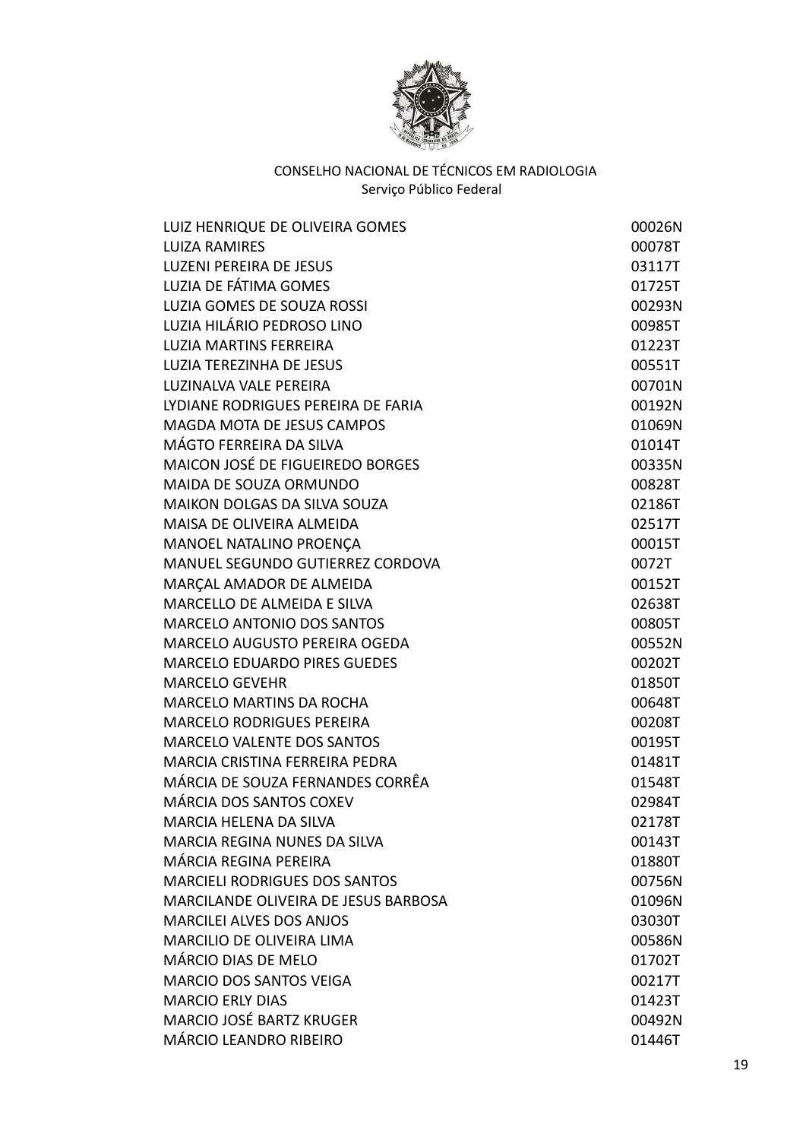

| LUIZ HENRIQUE DE OLIVEIRA GOMES         | 00026N |
|-----------------------------------------|--------|
| <b>LUIZA RAMIRES</b>                    | 00078T |
| <b>LUZENI PEREIRA DE JESUS</b>          | 03117T |
| LUZIA DE FÁTIMA GOMES                   | 01725T |
| LUZIA GOMES DE SOUZA ROSSI              | 00293N |
| LUZIA HILÁRIO PEDROSO LINO              | 00985T |
| <b>LUZIA MARTINS FERREIRA</b>           | 01223T |
| <b>LUZIA TEREZINHA DE JESUS</b>         | 00551T |
| LUZINALVA VALE PEREIRA                  | 00701N |
| LYDIANE RODRIGUES PEREIRA DE FARIA      | 00192N |
| MAGDA MOTA DE JESUS CAMPOS              | 01069N |
| MÁGTO FERREIRA DA SILVA                 | 01014T |
| MAICON JOSÉ DE FIGUEIREDO BORGES        | 00335N |
| MAIDA DE SOUZA ORMUNDO                  | 00828T |
| <b>MAIKON DOLGAS DA SILVA SOUZA</b>     | 02186T |
| MAISA DE OLIVEIRA ALMEIDA               | 02517T |
| MANOEL NATALINO PROENÇA                 | 00015T |
| <b>MANUEL SEGUNDO GUTIERREZ CORDOVA</b> | 0072T  |
| MARÇAL AMADOR DE ALMEIDA                | 00152T |
| <b>MARCELLO DE ALMEIDA E SILVA</b>      | 02638T |
| <b>MARCELO ANTONIO DOS SANTOS</b>       | 00805T |
| MARCELO AUGUSTO PEREIRA OGEDA           | 00552N |
| <b>MARCELO EDUARDO PIRES GUEDES</b>     | 00202T |
| <b>MARCELO GEVEHR</b>                   | 01850T |
| <b>MARCELO MARTINS DA ROCHA</b>         | 00648T |
| <b>MARCELO RODRIGUES PEREIRA</b>        | 00208T |
| <b>MARCELO VALENTE DOS SANTOS</b>       | 00195T |
| MARCIA CRISTINA FERREIRA PEDRA          | 01481T |
| MÁRCIA DE SOUZA FERNANDES CORRÊA        | 01548T |
| MÁRCIA DOS SANTOS COXEV                 | 02984T |
| MARCIA HELENA DA SILVA                  | 02178T |
| MARCIA REGINA NUNES DA SILVA            | 00143T |
| MÁRCIA REGINA PEREIRA                   | 01880T |
| <b>MARCIELI RODRIGUES DOS SANTOS</b>    | 00756N |
| MARCILANDE OLIVEIRA DE JESUS BARBOSA    | 01096N |
| <b>MARCILEI ALVES DOS ANJOS</b>         | 03030T |
| <b>MARCILIO DE OLIVEIRA LIMA</b>        | 00586N |
| MÁRCIO DIAS DE MELO                     | 01702T |
| <b>MARCIO DOS SANTOS VEIGA</b>          | 00217T |
| <b>MARCIO ERLY DIAS</b>                 | 01423T |
| <b>MARCIO JOSÉ BARTZ KRUGER</b>         | 00492N |
| MÁRCIO LEANDRO RIBEIRO                  | 01446T |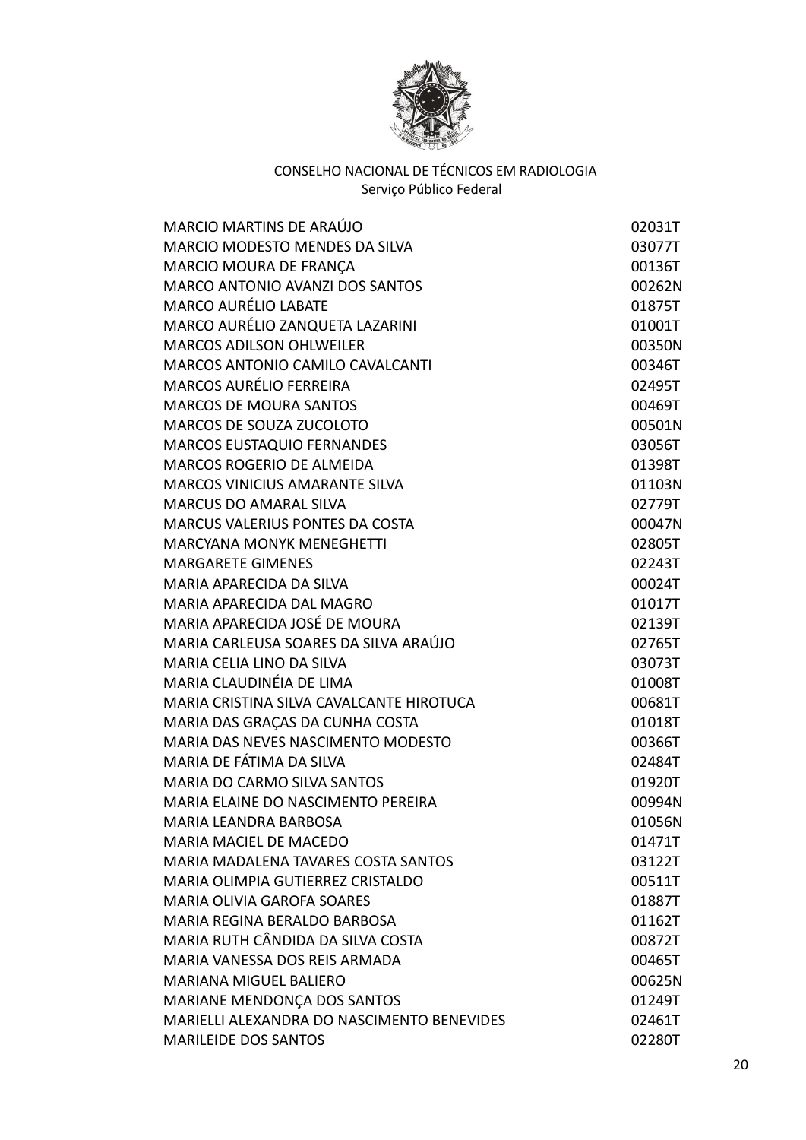

| <b>MARCIO MARTINS DE ARAÚJO</b>            | 02031T |
|--------------------------------------------|--------|
| MARCIO MODESTO MENDES DA SILVA             | 03077T |
| MARCIO MOURA DE FRANÇA                     | 00136T |
| <b>MARCO ANTONIO AVANZI DOS SANTOS</b>     | 00262N |
| <b>MARCO AURÉLIO LABATE</b>                | 01875T |
| MARCO AURÉLIO ZANQUETA LAZARINI            | 01001T |
| <b>MARCOS ADILSON OHLWEILER</b>            | 00350N |
| MARCOS ANTONIO CAMILO CAVALCANTI           | 00346T |
| <b>MARCOS AURÉLIO FERREIRA</b>             | 02495T |
| <b>MARCOS DE MOURA SANTOS</b>              | 00469T |
| MARCOS DE SOUZA ZUCOLOTO                   | 00501N |
| MARCOS EUSTAQUIO FERNANDES                 | 03056T |
| MARCOS ROGERIO DE ALMEIDA                  | 01398T |
| <b>MARCOS VINICIUS AMARANTE SILVA</b>      | 01103N |
| <b>MARCUS DO AMARAL SILVA</b>              | 02779T |
| <b>MARCUS VALERIUS PONTES DA COSTA</b>     | 00047N |
| <b>MARCYANA MONYK MENEGHETTI</b>           | 02805T |
| <b>MARGARETE GIMENES</b>                   | 02243T |
| MARIA APARECIDA DA SILVA                   | 00024T |
| MARIA APARECIDA DAL MAGRO                  | 01017T |
| MARIA APARECIDA JOSÉ DE MOURA              | 02139T |
| MARIA CARLEUSA SOARES DA SILVA ARAÚJO      | 02765T |
| MARIA CELIA LINO DA SILVA                  | 03073T |
| MARIA CLAUDINÉIA DE LIMA                   | 01008T |
| MARIA CRISTINA SILVA CAVALCANTE HIROTUCA   | 00681T |
| MARIA DAS GRAÇAS DA CUNHA COSTA            | 01018T |
| MARIA DAS NEVES NASCIMENTO MODESTO         | 00366T |
| MARIA DE FÁTIMA DA SILVA                   | 02484T |
| <b>MARIA DO CARMO SILVA SANTOS</b>         | 01920T |
| MARIA ELAINE DO NASCIMENTO PEREIRA         | 00994N |
| <b>MARIA LEANDRA BARBOSA</b>               | 01056N |
| <b>MARIA MACIEL DE MACEDO</b>              | 01471T |
| MARIA MADALENA TAVARES COSTA SANTOS        | 03122T |
| MARIA OLIMPIA GUTIERREZ CRISTALDO          | 00511T |
| <b>MARIA OLIVIA GAROFA SOARES</b>          | 01887T |
| MARIA REGINA BERALDO BARBOSA               | 01162T |
| MARIA RUTH CÂNDIDA DA SILVA COSTA          | 00872T |
| MARIA VANESSA DOS REIS ARMADA              | 00465T |
| <b>MARIANA MIGUEL BALIERO</b>              | 00625N |
| MARIANE MENDONÇA DOS SANTOS                | 01249T |
| MARIELLI ALEXANDRA DO NASCIMENTO BENEVIDES | 02461T |
| <b>MARILEIDE DOS SANTOS</b>                | 02280T |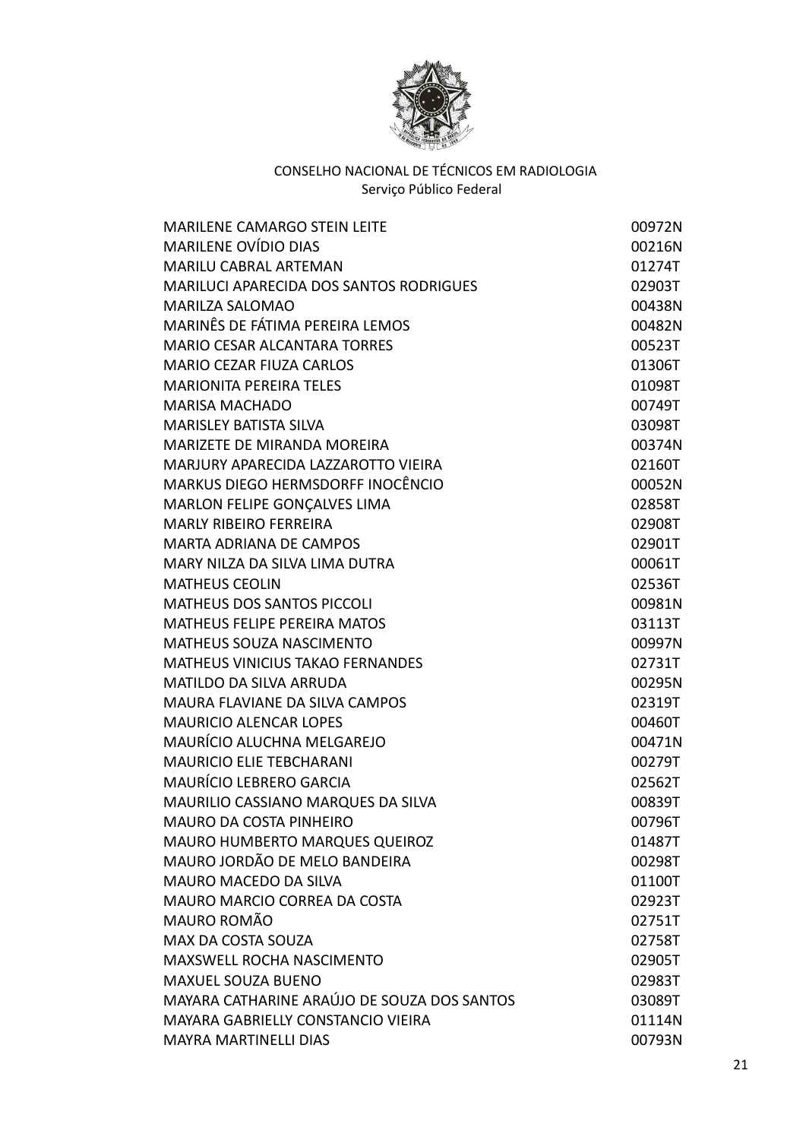

| <b>MARILENE CAMARGO STEIN LEITE</b>            | 00972N |
|------------------------------------------------|--------|
| <b>MARILENE OVÍDIO DIAS</b>                    | 00216N |
| MARILU CABRAL ARTEMAN                          | 01274T |
| <b>MARILUCI APARECIDA DOS SANTOS RODRIGUES</b> | 02903T |
| <b>MARILZA SALOMAO</b>                         | 00438N |
| MARINÊS DE FÁTIMA PEREIRA LEMOS                | 00482N |
| <b>MARIO CESAR ALCANTARA TORRES</b>            | 00523T |
| <b>MARIO CEZAR FIUZA CARLOS</b>                | 01306T |
| <b>MARIONITA PEREIRA TELES</b>                 | 01098T |
| <b>MARISA MACHADO</b>                          | 00749T |
| <b>MARISLEY BATISTA SILVA</b>                  | 03098T |
| <b>MARIZETE DE MIRANDA MOREIRA</b>             | 00374N |
| MARJURY APARECIDA LAZZAROTTO VIEIRA            | 02160T |
| MARKUS DIEGO HERMSDORFF INOCÊNCIO              | 00052N |
| MARLON FELIPE GONÇALVES LIMA                   | 02858T |
| <b>MARLY RIBEIRO FERREIRA</b>                  | 02908T |
| <b>MARTA ADRIANA DE CAMPOS</b>                 | 02901T |
| MARY NILZA DA SILVA LIMA DUTRA                 | 00061T |
| <b>MATHEUS CEOLIN</b>                          | 02536T |
| MATHEUS DOS SANTOS PICCOLI                     | 00981N |
| <b>MATHEUS FELIPE PEREIRA MATOS</b>            | 03113T |
| MATHEUS SOUZA NASCIMENTO                       | 00997N |
| <b>MATHEUS VINICIUS TAKAO FERNANDES</b>        | 02731T |
| <b>MATILDO DA SILVA ARRUDA</b>                 | 00295N |
| MAURA FLAVIANE DA SILVA CAMPOS                 | 02319T |
| <b>MAURICIO ALENCAR LOPES</b>                  | 00460T |
| MAURÍCIO ALUCHNA MELGAREJO                     | 00471N |
| <b>MAURICIO ELIE TEBCHARANI</b>                | 00279T |
| <b>MAURÍCIO LEBRERO GARCIA</b>                 | 02562T |
| MAURILIO CASSIANO MARQUES DA SILVA             | 00839T |
| MAURO DA COSTA PINHEIRO                        | 00796T |
| MAURO HUMBERTO MARQUES QUEIROZ                 | 01487T |
| MAURO JORDÃO DE MELO BANDEIRA                  | 00298T |
| MAURO MACEDO DA SILVA                          | 01100T |
| <b>MAURO MARCIO CORREA DA COSTA</b>            | 02923T |
| MAURO ROMÃO                                    | 02751T |
| MAX DA COSTA SOUZA                             | 02758T |
| MAXSWELL ROCHA NASCIMENTO                      | 02905T |
| <b>MAXUEL SOUZA BUENO</b>                      | 02983T |
| MAYARA CATHARINE ARAÚJO DE SOUZA DOS SANTOS    | 03089T |
| MAYARA GABRIELLY CONSTANCIO VIEIRA             | 01114N |
| <b>MAYRA MARTINELLI DIAS</b>                   | 00793N |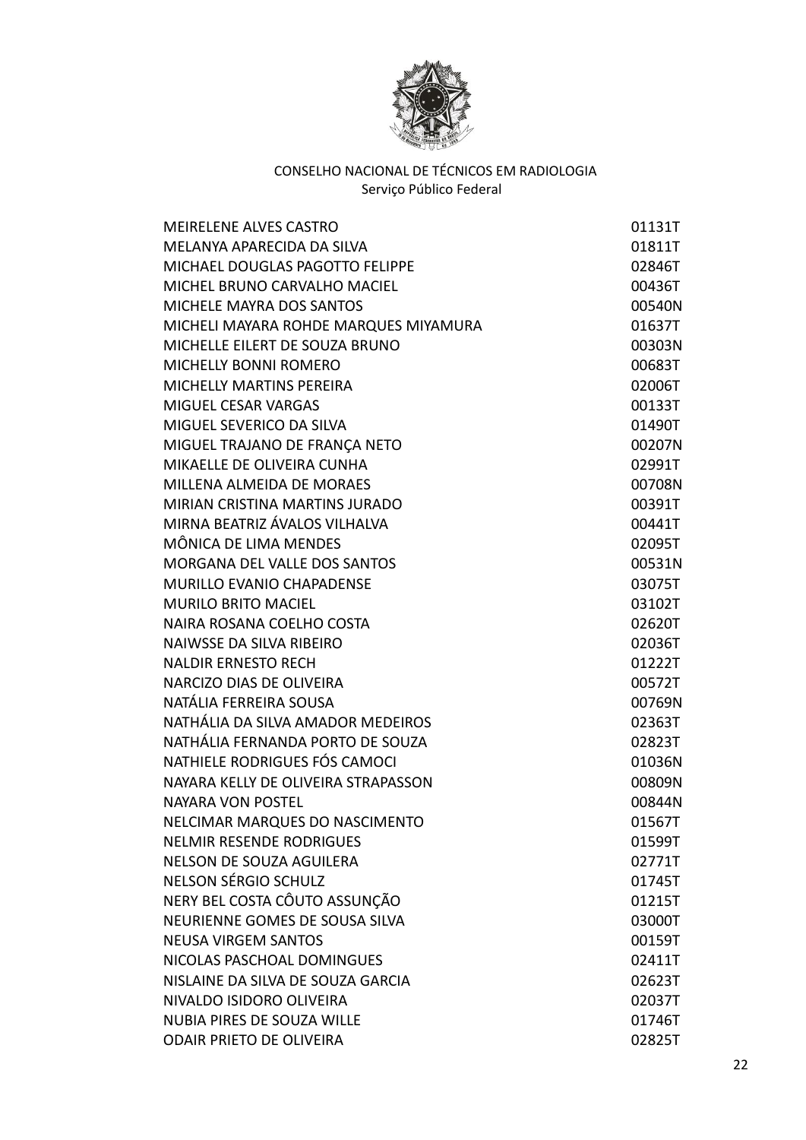

| <b>MEIRELENE ALVES CASTRO</b>         | 01131T |
|---------------------------------------|--------|
| MELANYA APARECIDA DA SILVA            | 01811T |
| MICHAEL DOUGLAS PAGOTTO FELIPPE       | 02846T |
| MICHEL BRUNO CARVALHO MACIEL          | 00436T |
| MICHELE MAYRA DOS SANTOS              | 00540N |
| MICHELI MAYARA ROHDE MARQUES MIYAMURA | 01637T |
| MICHELLE EILERT DE SOUZA BRUNO        | 00303N |
| <b>MICHELLY BONNI ROMERO</b>          | 00683T |
| <b>MICHELLY MARTINS PEREIRA</b>       | 02006T |
| MIGUEL CESAR VARGAS                   | 00133T |
| MIGUEL SEVERICO DA SILVA              | 01490T |
| MIGUEL TRAJANO DE FRANÇA NETO         | 00207N |
| MIKAELLE DE OLIVEIRA CUNHA            | 02991T |
| MILLENA ALMEIDA DE MORAES             | 00708N |
| <b>MIRIAN CRISTINA MARTINS JURADO</b> | 00391T |
| MIRNA BEATRIZ ÁVALOS VILHALVA         | 00441T |
| MÔNICA DE LIMA MENDES                 | 02095T |
| MORGANA DEL VALLE DOS SANTOS          | 00531N |
| MURILLO EVANIO CHAPADENSE             | 03075T |
| <b>MURILO BRITO MACIEL</b>            | 03102T |
| NAIRA ROSANA COELHO COSTA             | 02620T |
| <b>NAIWSSE DA SILVA RIBEIRO</b>       | 02036T |
| <b>NALDIR ERNESTO RECH</b>            | 01222T |
| NARCIZO DIAS DE OLIVEIRA              | 00572T |
| NATÁLIA FERREIRA SOUSA                | 00769N |
| NATHÁLIA DA SILVA AMADOR MEDEIROS     | 02363T |
| NATHÁLIA FERNANDA PORTO DE SOUZA      | 02823T |
| NATHIELE RODRIGUES FÓS CAMOCI         | 01036N |
| NAYARA KELLY DE OLIVEIRA STRAPASSON   | 00809N |
| <b>NAYARA VON POSTEL</b>              | 00844N |
| NELCIMAR MARQUES DO NASCIMENTO        | 01567T |
| <b>NELMIR RESENDE RODRIGUES</b>       | 01599T |
| NELSON DE SOUZA AGUILERA              | 02771T |
| NELSON SÉRGIO SCHULZ                  | 01745T |
| NERY BEL COSTA CÔUTO ASSUNÇÃO         | 01215T |
| NEURIENNE GOMES DE SOUSA SILVA        | 03000T |
| <b>NEUSA VIRGEM SANTOS</b>            | 00159T |
| NICOLAS PASCHOAL DOMINGUES            | 02411T |
| NISLAINE DA SILVA DE SOUZA GARCIA     | 02623T |
| NIVALDO ISIDORO OLIVEIRA              | 02037T |
| <b>NUBIA PIRES DE SOUZA WILLE</b>     | 01746T |
| <b>ODAIR PRIETO DE OLIVEIRA</b>       | 02825T |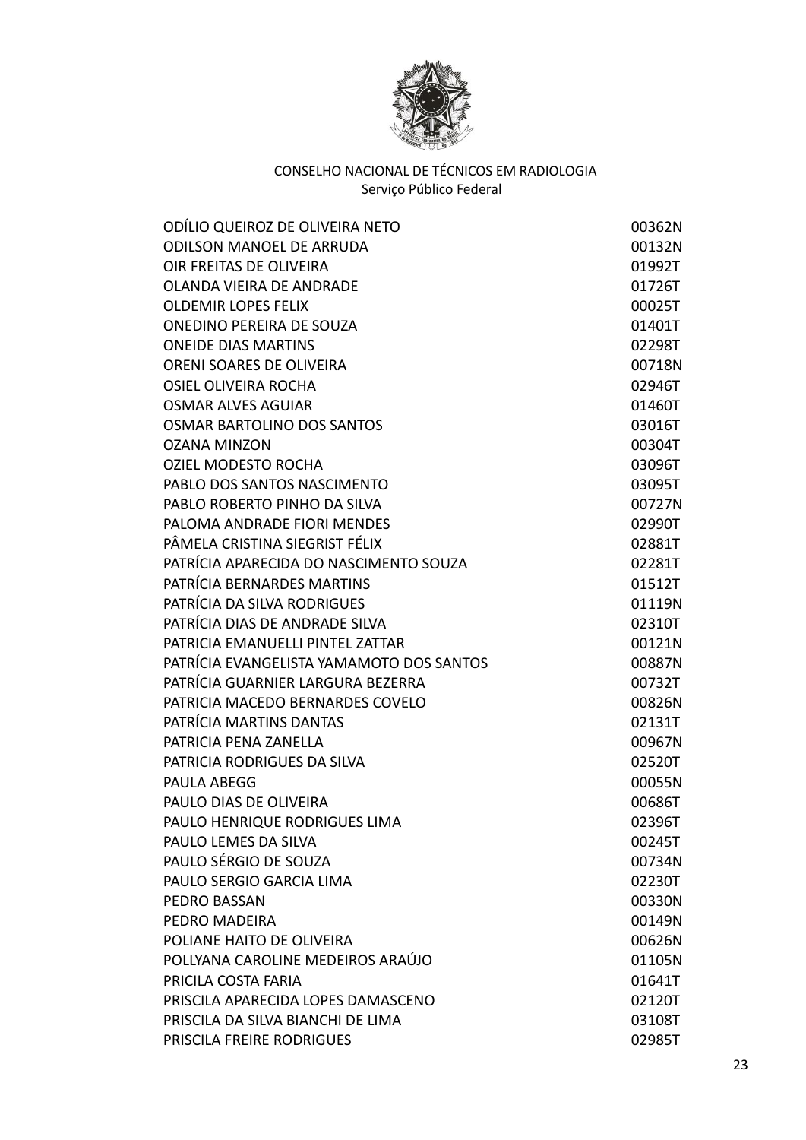

| ODÍLIO QUEIROZ DE OLIVEIRA NETO          | 00362N |
|------------------------------------------|--------|
| <b>ODILSON MANOEL DE ARRUDA</b>          | 00132N |
| OIR FREITAS DE OLIVEIRA                  | 01992T |
| <b>OLANDA VIEIRA DE ANDRADE</b>          | 01726T |
| <b>OLDEMIR LOPES FELIX</b>               | 00025T |
| <b>ONEDINO PEREIRA DE SOUZA</b>          | 01401T |
| <b>ONEIDE DIAS MARTINS</b>               | 02298T |
| ORENI SOARES DE OLIVEIRA                 | 00718N |
| <b>OSIEL OLIVEIRA ROCHA</b>              | 02946T |
| <b>OSMAR ALVES AGUIAR</b>                | 01460T |
| OSMAR BARTOLINO DOS SANTOS               | 03016T |
| <b>OZANA MINZON</b>                      | 00304T |
| <b>OZIEL MODESTO ROCHA</b>               | 03096T |
| PABLO DOS SANTOS NASCIMENTO              | 03095T |
| PABLO ROBERTO PINHO DA SILVA             | 00727N |
| PALOMA ANDRADE FIORI MENDES              | 02990T |
| PÂMELA CRISTINA SIEGRIST FÉLIX           | 02881T |
| PATRÍCIA APARECIDA DO NASCIMENTO SOUZA   | 02281T |
| PATRÍCIA BERNARDES MARTINS               | 01512T |
| PATRÍCIA DA SILVA RODRIGUES              | 01119N |
| PATRÍCIA DIAS DE ANDRADE SILVA           | 02310T |
| PATRICIA EMANUELLI PINTEL ZATTAR         | 00121N |
| PATRÍCIA EVANGELISTA YAMAMOTO DOS SANTOS | 00887N |
| PATRÍCIA GUARNIER LARGURA BEZERRA        | 00732T |
| PATRICIA MACEDO BERNARDES COVELO         | 00826N |
| PATRÍCIA MARTINS DANTAS                  | 02131T |
| PATRICIA PENA ZANELLA                    | 00967N |
| PATRICIA RODRIGUES DA SILVA              | 02520T |
| PAULA ABEGG                              | 00055N |
| PAULO DIAS DE OLIVEIRA                   | 00686T |
| PAULO HENRIQUE RODRIGUES LIMA            | 02396T |
| PAULO LEMES DA SILVA                     | 00245T |
| PAULO SÉRGIO DE SOUZA                    | 00734N |
| PAULO SERGIO GARCIA LIMA                 | 02230T |
| <b>PEDRO BASSAN</b>                      | 00330N |
| PEDRO MADEIRA                            | 00149N |
| POLIANE HAITO DE OLIVEIRA                | 00626N |
| POLLYANA CAROLINE MEDEIROS ARAÚJO        | 01105N |
| PRICILA COSTA FARIA                      | 01641T |
| PRISCILA APARECIDA LOPES DAMASCENO       | 02120T |
| PRISCILA DA SILVA BIANCHI DE LIMA        | 03108T |
| PRISCILA FREIRE RODRIGUES                | 02985T |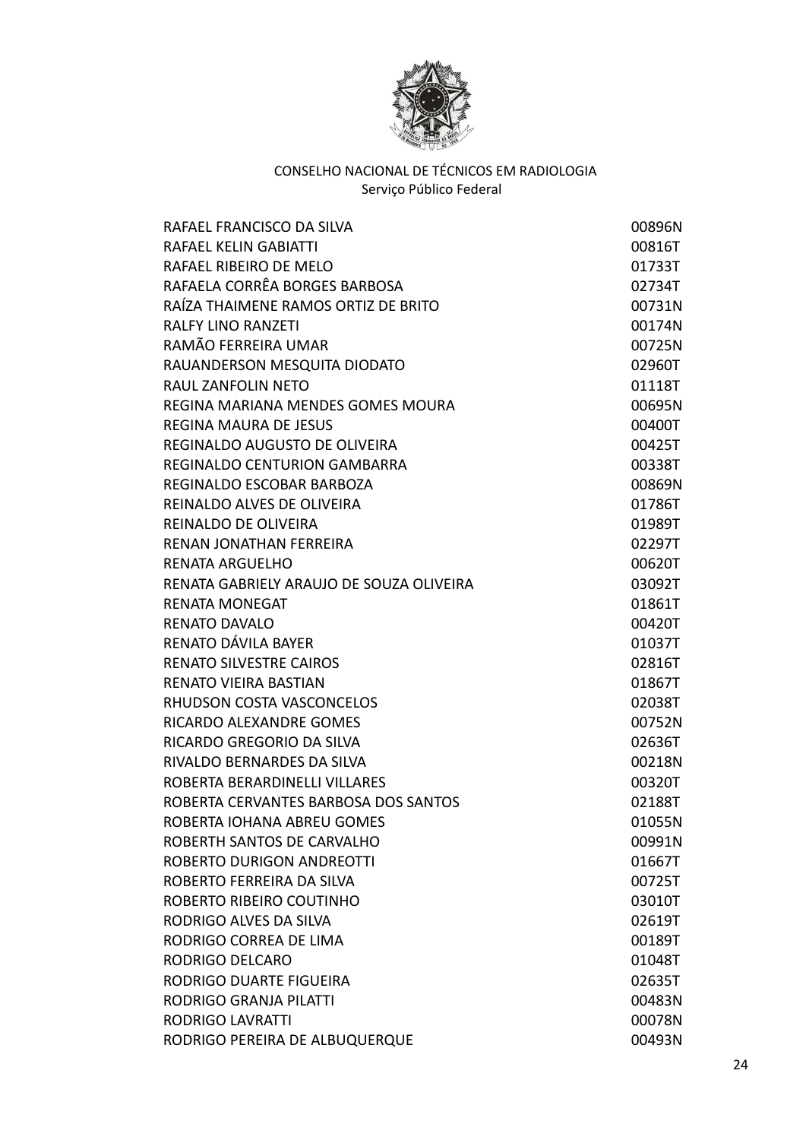

| RAFAEL FRANCISCO DA SILVA                | 00896N |
|------------------------------------------|--------|
| <b>RAFAEL KELIN GABIATTI</b>             | 00816T |
| RAFAEL RIBEIRO DE MELO                   | 01733T |
| RAFAELA CORRÊA BORGES BARBOSA            | 02734T |
| RAÍZA THAIMENE RAMOS ORTIZ DE BRITO      | 00731N |
| <b>RALFY LINO RANZETI</b>                | 00174N |
| RAMÃO FERREIRA UMAR                      | 00725N |
| RAUANDERSON MESQUITA DIODATO             | 02960T |
| <b>RAUL ZANFOLIN NETO</b>                | 01118T |
| REGINA MARIANA MENDES GOMES MOURA        | 00695N |
| <b>REGINA MAURA DE JESUS</b>             | 00400T |
| REGINALDO AUGUSTO DE OLIVEIRA            | 00425T |
| REGINALDO CENTURION GAMBARRA             | 00338T |
| REGINALDO ESCOBAR BARBOZA                | 00869N |
| REINALDO ALVES DE OLIVEIRA               | 01786T |
| REINALDO DE OLIVEIRA                     | 01989T |
| RENAN JONATHAN FERREIRA                  | 02297T |
| <b>RENATA ARGUELHO</b>                   | 00620T |
| RENATA GABRIELY ARAUJO DE SOUZA OLIVEIRA | 03092T |
| <b>RENATA MONEGAT</b>                    | 01861T |
| <b>RENATO DAVALO</b>                     | 00420T |
| RENATO DÁVILA BAYER                      | 01037T |
| <b>RENATO SILVESTRE CAIROS</b>           | 02816T |
| <b>RENATO VIEIRA BASTIAN</b>             | 01867T |
| RHUDSON COSTA VASCONCELOS                | 02038T |
| RICARDO ALEXANDRE GOMES                  | 00752N |
| RICARDO GREGORIO DA SILVA                | 02636T |
| RIVALDO BERNARDES DA SILVA               | 00218N |
| ROBERTA BERARDINELLI VILLARES            | 00320T |
| ROBERTA CERVANTES BARBOSA DOS SANTOS     | 02188T |
| ROBERTA IOHANA ABREU GOMES               | 01055N |
| ROBERTH SANTOS DE CARVALHO               | 00991N |
| <b>ROBERTO DURIGON ANDREOTTI</b>         | 01667T |
| ROBERTO FERREIRA DA SILVA                | 00725T |
| ROBERTO RIBEIRO COUTINHO                 | 03010T |
| RODRIGO ALVES DA SILVA                   | 02619T |
| RODRIGO CORREA DE LIMA                   | 00189T |
| RODRIGO DELCARO                          | 01048T |
| RODRIGO DUARTE FIGUEIRA                  | 02635T |
| <b>RODRIGO GRANJA PILATTI</b>            | 00483N |
| <b>RODRIGO LAVRATTI</b>                  | 00078N |
| RODRIGO PEREIRA DE ALBUQUERQUE           | 00493N |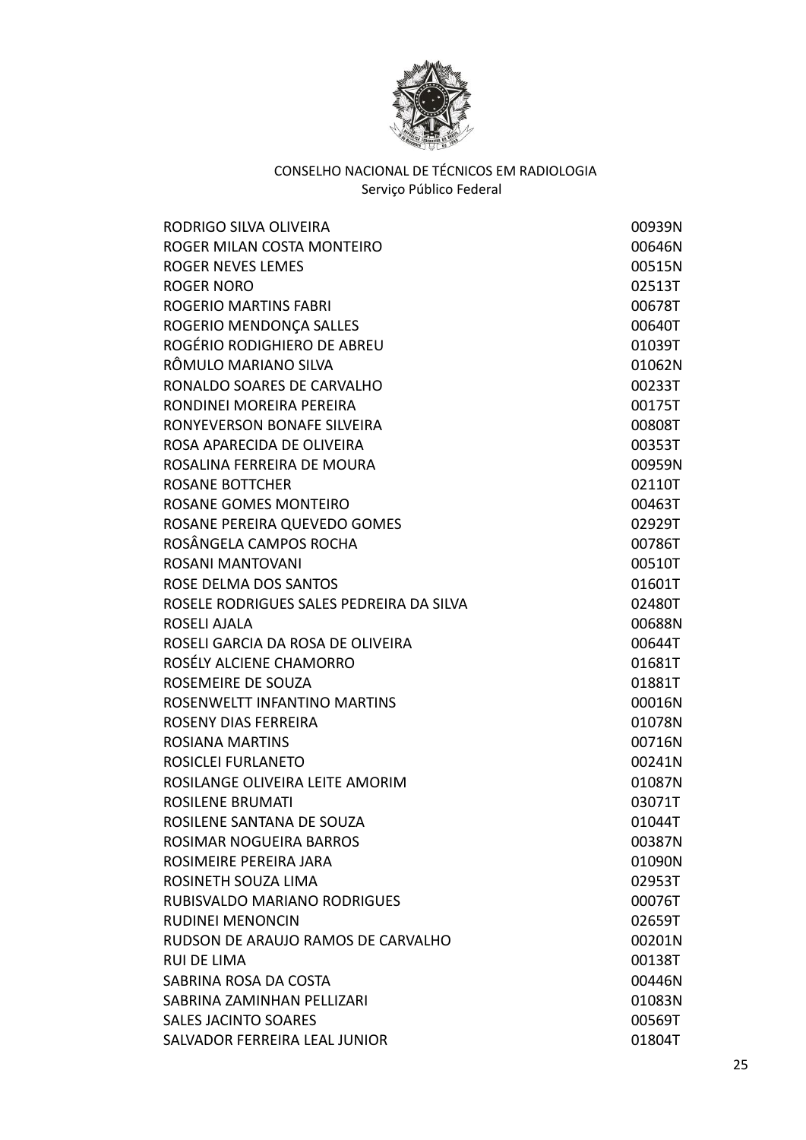

| RODRIGO SILVA OLIVEIRA                   | 00939N |
|------------------------------------------|--------|
| ROGER MILAN COSTA MONTEIRO               | 00646N |
| ROGER NEVES LEMES                        | 00515N |
| <b>ROGER NORO</b>                        | 02513T |
| <b>ROGERIO MARTINS FABRI</b>             | 00678T |
| ROGERIO MENDONÇA SALLES                  | 00640T |
| ROGÉRIO RODIGHIERO DE ABREU              | 01039T |
| RÔMULO MARIANO SILVA                     | 01062N |
| RONALDO SOARES DE CARVALHO               | 00233T |
| RONDINEI MOREIRA PEREIRA                 | 00175T |
| RONYEVERSON BONAFE SILVEIRA              | 00808T |
| ROSA APARECIDA DE OLIVEIRA               | 00353T |
| ROSALINA FERREIRA DE MOURA               | 00959N |
| <b>ROSANE BOTTCHER</b>                   | 02110T |
| ROSANE GOMES MONTEIRO                    | 00463T |
| ROSANE PEREIRA QUEVEDO GOMES             | 02929T |
| ROSÂNGELA CAMPOS ROCHA                   | 00786T |
| ROSANI MANTOVANI                         | 00510T |
| ROSE DELMA DOS SANTOS                    | 01601T |
| ROSELE RODRIGUES SALES PEDREIRA DA SILVA | 02480T |
| ROSELI AJALA                             | 00688N |
| ROSELI GARCIA DA ROSA DE OLIVEIRA        | 00644T |
| ROSÉLY ALCIENE CHAMORRO                  | 01681T |
| ROSEMEIRE DE SOUZA                       | 01881T |
| ROSENWELTT INFANTINO MARTINS             | 00016N |
| <b>ROSENY DIAS FERREIRA</b>              | 01078N |
| <b>ROSIANA MARTINS</b>                   | 00716N |
| ROSICLEI FURLANETO                       | 00241N |
| ROSILANGE OLIVEIRA LEITE AMORIM          | 01087N |
| <b>ROSILENE BRUMATI</b>                  | 03071T |
| ROSILENE SANTANA DE SOUZA                | 01044T |
| ROSIMAR NOGUEIRA BARROS                  | 00387N |
| ROSIMEIRE PEREIRA JARA                   | 01090N |
| ROSINETH SOUZA LIMA                      | 02953T |
| RUBISVALDO MARIANO RODRIGUES             | 00076T |
| <b>RUDINEI MENONCIN</b>                  | 02659T |
| RUDSON DE ARAUJO RAMOS DE CARVALHO       | 00201N |
| <b>RUI DE LIMA</b>                       | 00138T |
| SABRINA ROSA DA COSTA                    | 00446N |
| SABRINA ZAMINHAN PELLIZARI               | 01083N |
| <b>SALES JACINTO SOARES</b>              | 00569T |
| SALVADOR FERREIRA LEAL JUNIOR            | 01804T |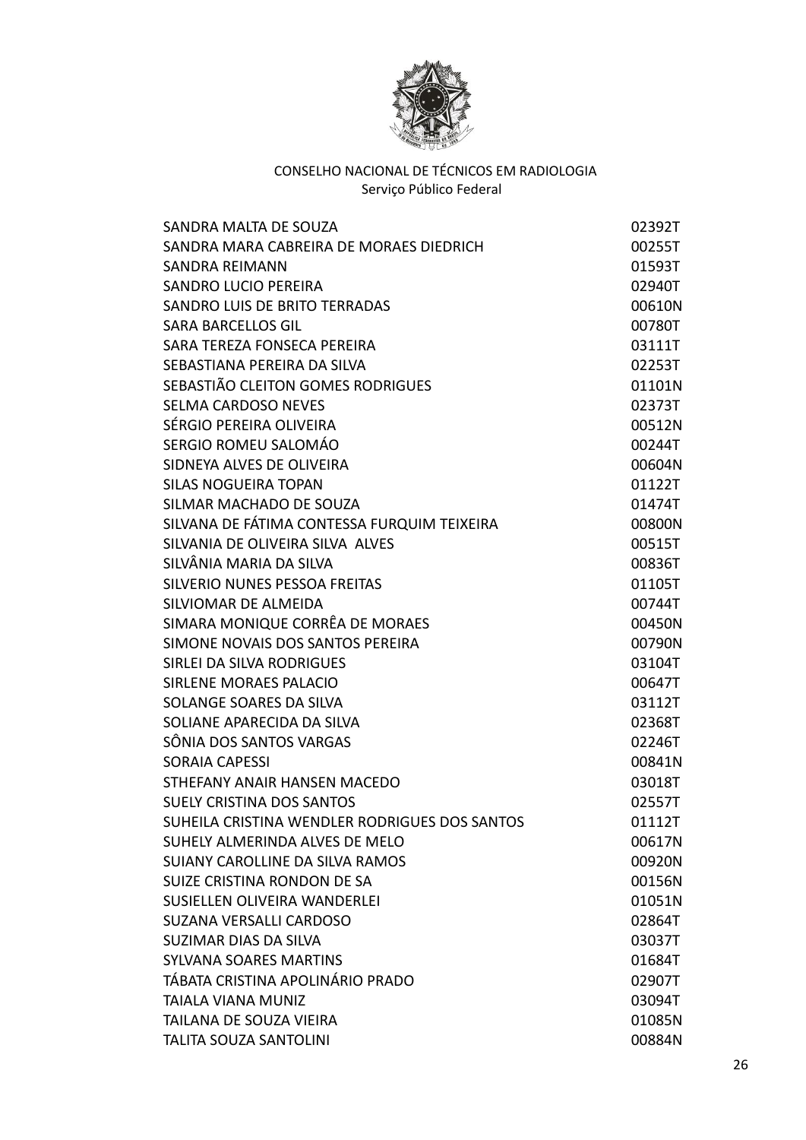

| SANDRA MALTA DE SOUZA                         | 02392T |
|-----------------------------------------------|--------|
| SANDRA MARA CABREIRA DE MORAES DIEDRICH       | 00255T |
| <b>SANDRA REIMANN</b>                         | 01593T |
| <b>SANDRO LUCIO PEREIRA</b>                   | 02940T |
| SANDRO LUIS DE BRITO TERRADAS                 | 00610N |
| <b>SARA BARCELLOS GIL</b>                     | 00780T |
| SARA TEREZA FONSECA PEREIRA                   | 03111T |
| SEBASTIANA PEREIRA DA SILVA                   | 02253T |
| SEBASTIÃO CLEITON GOMES RODRIGUES             | 01101N |
| <b>SELMA CARDOSO NEVES</b>                    | 02373T |
| SÉRGIO PEREIRA OLIVEIRA                       | 00512N |
| SERGIO ROMEU SALOMÁO                          | 00244T |
| SIDNEYA ALVES DE OLIVEIRA                     | 00604N |
| <b>SILAS NOGUEIRA TOPAN</b>                   | 01122T |
| SILMAR MACHADO DE SOUZA                       | 01474T |
| SILVANA DE FÁTIMA CONTESSA FURQUIM TEIXEIRA   | 00800N |
| SILVANIA DE OLIVEIRA SILVA ALVES              | 00515T |
| SILVÂNIA MARIA DA SILVA                       | 00836T |
| SILVERIO NUNES PESSOA FREITAS                 | 01105T |
| SILVIOMAR DE ALMEIDA                          | 00744T |
| SIMARA MONIQUE CORRÊA DE MORAES               | 00450N |
| SIMONE NOVAIS DOS SANTOS PEREIRA              | 00790N |
| SIRLEI DA SILVA RODRIGUES                     | 03104T |
| SIRLENE MORAES PALACIO                        | 00647T |
| SOLANGE SOARES DA SILVA                       | 03112T |
| SOLIANE APARECIDA DA SILVA                    | 02368T |
| SÔNIA DOS SANTOS VARGAS                       | 02246T |
| <b>SORAIA CAPESSI</b>                         | 00841N |
| STHEFANY ANAIR HANSEN MACEDO                  | 03018T |
| <b>SUELY CRISTINA DOS SANTOS</b>              | 02557T |
| SUHEILA CRISTINA WENDLER RODRIGUES DOS SANTOS | 01112T |
| SUHELY ALMERINDA ALVES DE MELO                | 00617N |
| SUIANY CAROLLINE DA SILVA RAMOS               | 00920N |
| SUIZE CRISTINA RONDON DE SA                   | 00156N |
| SUSIELLEN OLIVEIRA WANDERLEI                  | 01051N |
| SUZANA VERSALLI CARDOSO                       | 02864T |
| SUZIMAR DIAS DA SILVA                         | 03037T |
| <b>SYLVANA SOARES MARTINS</b>                 | 01684T |
| TÁBATA CRISTINA APOLINÁRIO PRADO              | 02907T |
| <b>TAIALA VIANA MUNIZ</b>                     | 03094T |
| TAILANA DE SOUZA VIEIRA                       | 01085N |
| <b>TALITA SOUZA SANTOLINI</b>                 | 00884N |
|                                               |        |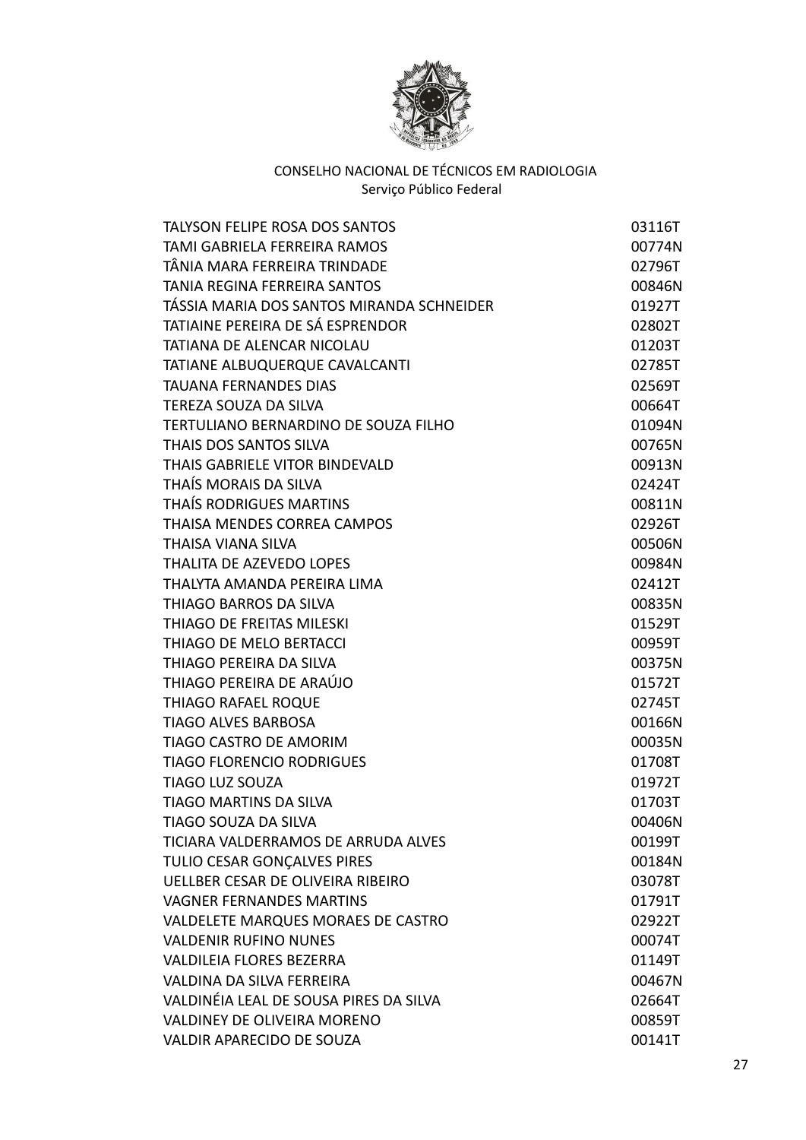

| <b>TALYSON FELIPE ROSA DOS SANTOS</b>     | 03116T |
|-------------------------------------------|--------|
| TAMI GABRIELA FERREIRA RAMOS              | 00774N |
| TÂNIA MARA FERREIRA TRINDADE              | 02796T |
| <b>TANIA REGINA FERREIRA SANTOS</b>       | 00846N |
| TÁSSIA MARIA DOS SANTOS MIRANDA SCHNEIDER | 01927T |
| TATIAINE PEREIRA DE SÁ ESPRENDOR          | 02802T |
| TATIANA DE ALENCAR NICOLAU                | 01203T |
| TATIANE ALBUQUERQUE CAVALCANTI            | 02785T |
| <b>TAUANA FERNANDES DIAS</b>              | 02569T |
| TEREZA SOUZA DA SILVA                     | 00664T |
| TERTULIANO BERNARDINO DE SOUZA FILHO      | 01094N |
| THAIS DOS SANTOS SILVA                    | 00765N |
| THAIS GABRIELE VITOR BINDEVALD            | 00913N |
| THAÍS MORAIS DA SILVA                     | 02424T |
| THAIS RODRIGUES MARTINS                   | 00811N |
| THAISA MENDES CORREA CAMPOS               | 02926T |
| THAISA VIANA SILVA                        | 00506N |
| <b>THALITA DE AZEVEDO LOPES</b>           | 00984N |
| THALYTA AMANDA PEREIRA LIMA               | 02412T |
| THIAGO BARROS DA SILVA                    | 00835N |
| THIAGO DE FREITAS MILESKI                 | 01529T |
| THIAGO DE MELO BERTACCI                   | 00959T |
| THIAGO PEREIRA DA SILVA                   | 00375N |
| THIAGO PEREIRA DE ARAÚJO                  | 01572T |
| <b>THIAGO RAFAEL ROQUE</b>                | 02745T |
| <b>TIAGO ALVES BARBOSA</b>                | 00166N |
| TIAGO CASTRO DE AMORIM                    | 00035N |
| <b>TIAGO FLORENCIO RODRIGUES</b>          | 01708T |
| <b>TIAGO LUZ SOUZA</b>                    | 01972T |
| <b>TIAGO MARTINS DA SILVA</b>             | 01703T |
| TIAGO SOUZA DA SILVA                      | 00406N |
| TICIARA VALDERRAMOS DE ARRUDA ALVES       | 00199T |
| TULIO CESAR GONCALVES PIRES               | 00184N |
| UELLBER CESAR DE OLIVEIRA RIBEIRO         | 03078T |
| <b>VAGNER FERNANDES MARTINS</b>           | 01791T |
| VALDELETE MARQUES MORAES DE CASTRO        | 02922T |
| <b>VALDENIR RUFINO NUNES</b>              | 00074T |
| <b>VALDILEIA FLORES BEZERRA</b>           | 01149T |
| VALDINA DA SILVA FERREIRA                 | 00467N |
| VALDINÉIA LEAL DE SOUSA PIRES DA SILVA    | 02664T |
| <b>VALDINEY DE OLIVEIRA MORENO</b>        | 00859T |
| VALDIR APARECIDO DE SOUZA                 | 00141T |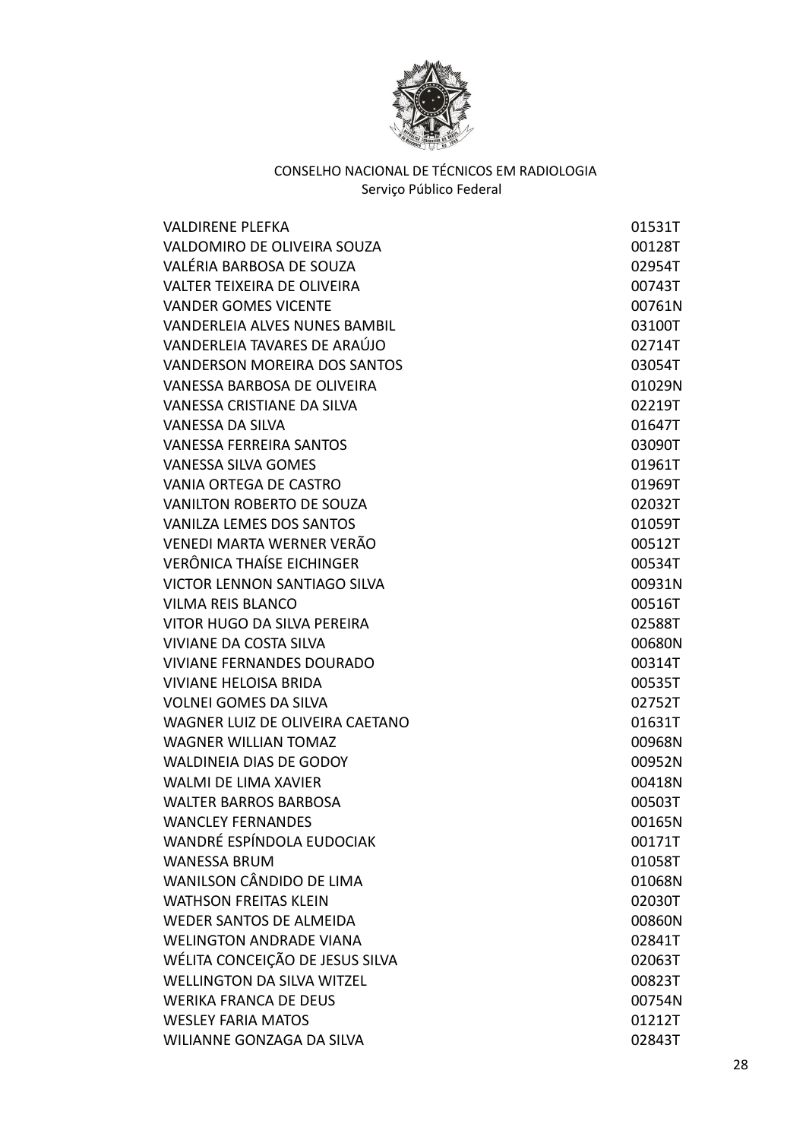

| <b>VALDIRENE PLEFKA</b>              | 01531T |
|--------------------------------------|--------|
| VALDOMIRO DE OLIVEIRA SOUZA          | 00128T |
| VALÉRIA BARBOSA DE SOUZA             | 02954T |
| <b>VALTER TEIXEIRA DE OLIVEIRA</b>   | 00743T |
| <b>VANDER GOMES VICENTE</b>          | 00761N |
| <b>VANDERLEIA ALVES NUNES BAMBIL</b> | 03100T |
| VANDERLEIA TAVARES DE ARAÚJO         | 02714T |
| <b>VANDERSON MOREIRA DOS SANTOS</b>  | 03054T |
| VANESSA BARBOSA DE OLIVEIRA          | 01029N |
| <b>VANESSA CRISTIANE DA SILVA</b>    | 02219T |
| <b>VANESSA DA SILVA</b>              | 01647T |
| <b>VANESSA FERREIRA SANTOS</b>       | 03090T |
| <b>VANESSA SILVA GOMES</b>           | 01961T |
| VANIA ORTEGA DE CASTRO               | 01969T |
| <b>VANILTON ROBERTO DE SOUZA</b>     | 02032T |
| <b>VANILZA LEMES DOS SANTOS</b>      | 01059T |
| VENEDI MARTA WERNER VERÃO            | 00512T |
| <b>VERÔNICA THAÍSE EICHINGER</b>     | 00534T |
| VICTOR LENNON SANTIAGO SILVA         | 00931N |
| <b>VILMA REIS BLANCO</b>             | 00516T |
| VITOR HUGO DA SILVA PEREIRA          | 02588T |
| <b>VIVIANE DA COSTA SILVA</b>        | 00680N |
| <b>VIVIANE FERNANDES DOURADO</b>     | 00314T |
| <b>VIVIANE HELOISA BRIDA</b>         | 00535T |
| <b>VOLNEI GOMES DA SILVA</b>         | 02752T |
| WAGNER LUIZ DE OLIVEIRA CAETANO      | 01631T |
| <b>WAGNER WILLIAN TOMAZ</b>          | 00968N |
| <b>WALDINEIA DIAS DE GODOY</b>       | 00952N |
| <b>WALMI DE LIMA XAVIER</b>          | 00418N |
| <b>WALTER BARROS BARBOSA</b>         | 00503T |
| <b>WANCLEY FERNANDES</b>             | 00165N |
| WANDRÉ ESPÍNDOLA EUDOCIAK            | 00171T |
| <b>WANESSA BRUM</b>                  | 01058T |
| WANILSON CÂNDIDO DE LIMA             | 01068N |
| <b>WATHSON FREITAS KLEIN</b>         | 02030T |
| WEDER SANTOS DE ALMEIDA              | 00860N |
| <b>WELINGTON ANDRADE VIANA</b>       | 02841T |
| WÉLITA CONCEIÇÃO DE JESUS SILVA      | 02063T |
| <b>WELLINGTON DA SILVA WITZEL</b>    | 00823T |
| <b>WERIKA FRANCA DE DEUS</b>         | 00754N |
| <b>WESLEY FARIA MATOS</b>            | 01212T |
| WILIANNE GONZAGA DA SILVA            | 02843T |